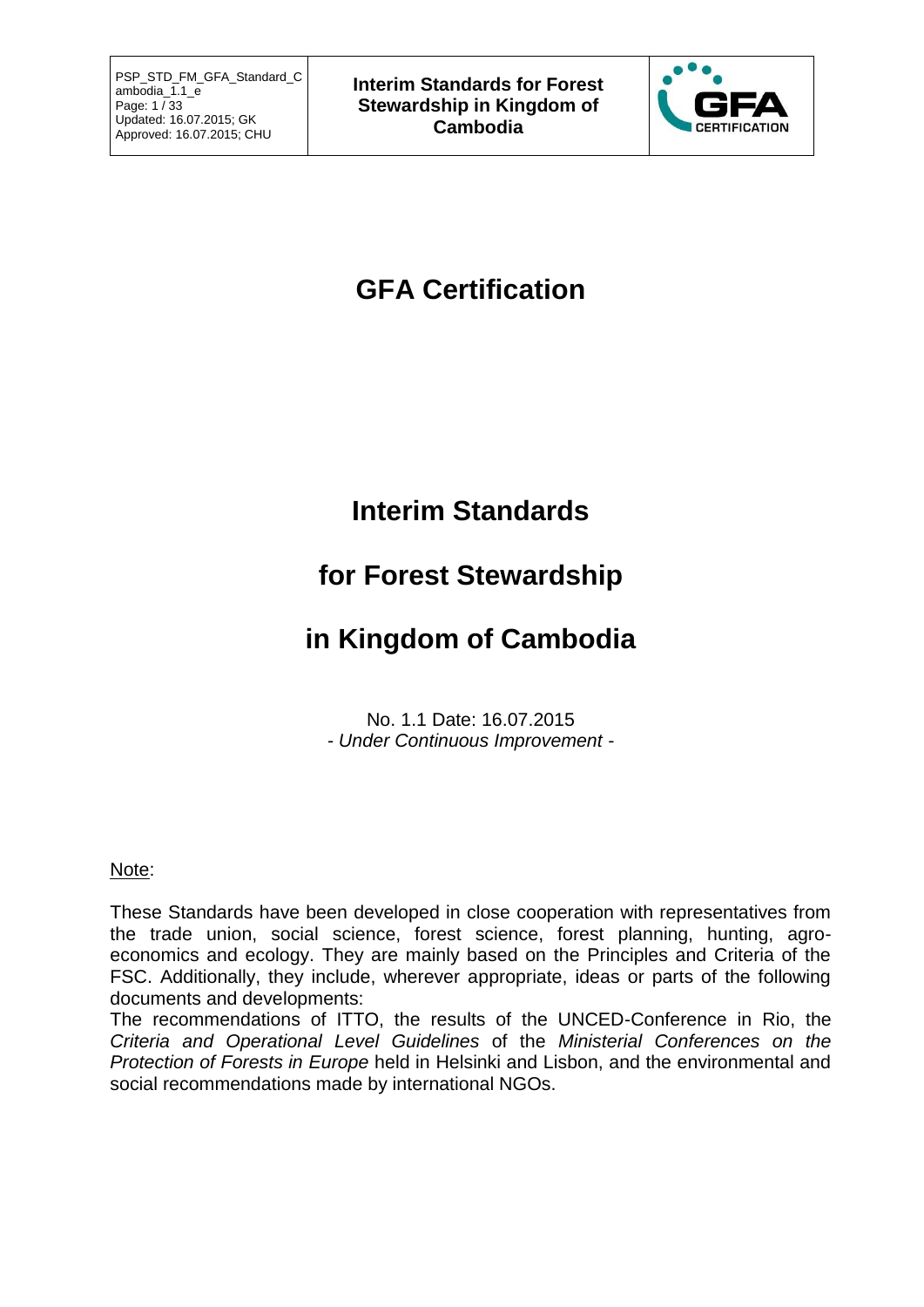

# **GFA Certification**

# **Interim Standards**

# **for Forest Stewardship**

# **in Kingdom of Cambodia**

No. 1.1 Date: 16.07.2015 *- Under Continuous Improvement -*

# Note:

These Standards have been developed in close cooperation with representatives from the trade union, social science, forest science, forest planning, hunting, agroeconomics and ecology. They are mainly based on the Principles and Criteria of the FSC. Additionally, they include, wherever appropriate, ideas or parts of the following documents and developments:

The recommendations of ITTO, the results of the UNCED-Conference in Rio, the *Criteria and Operational Level Guidelines* of the *Ministerial Conferences on the Protection of Forests in Europe* held in Helsinki and Lisbon, and the environmental and social recommendations made by international NGOs.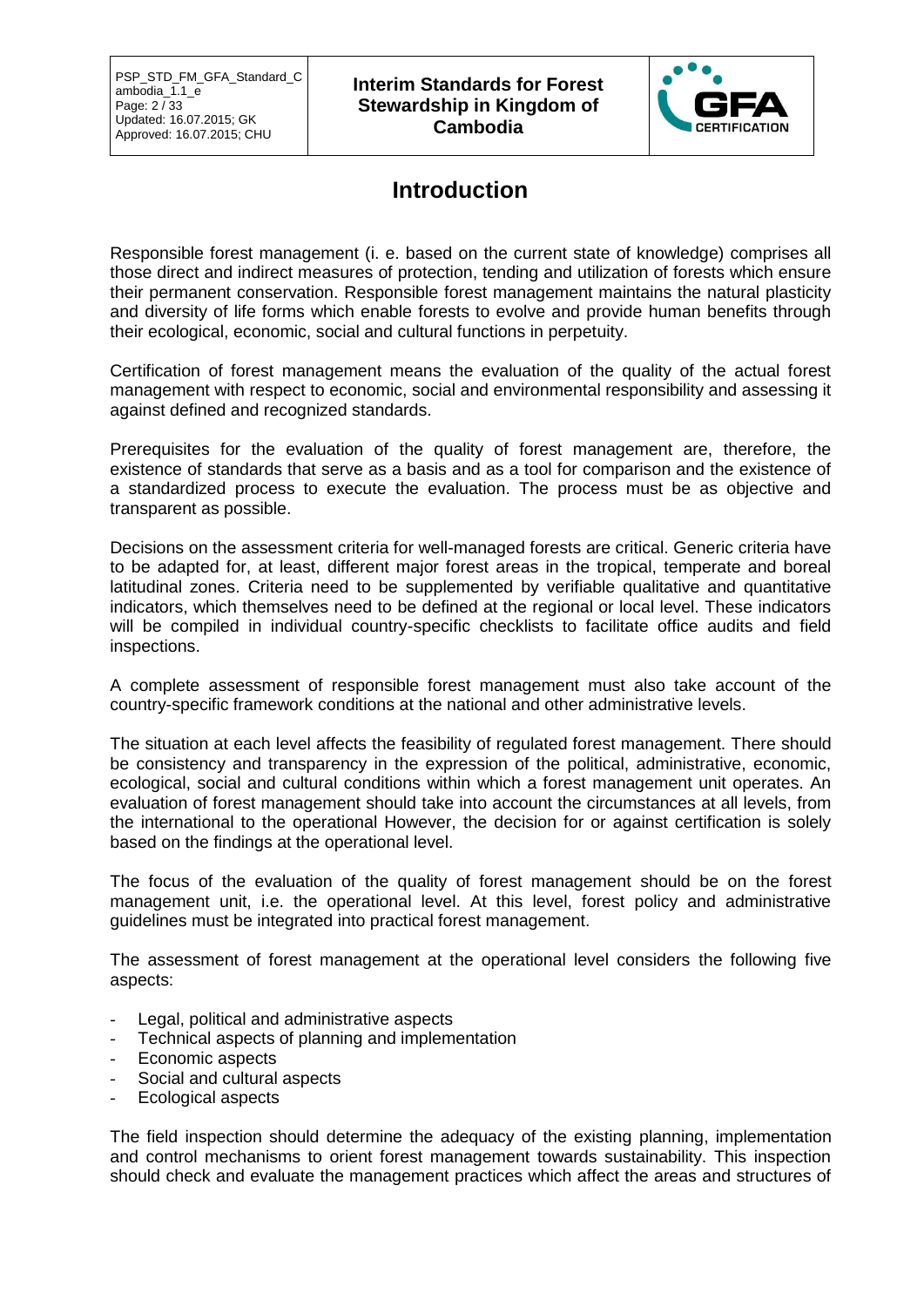

# **Introduction**

Responsible forest management (i. e. based on the current state of knowledge) comprises all those direct and indirect measures of protection, tending and utilization of forests which ensure their permanent conservation. Responsible forest management maintains the natural plasticity and diversity of life forms which enable forests to evolve and provide human benefits through their ecological, economic, social and cultural functions in perpetuity.

Certification of forest management means the evaluation of the quality of the actual forest management with respect to economic, social and environmental responsibility and assessing it against defined and recognized standards.

Prerequisites for the evaluation of the quality of forest management are, therefore, the existence of standards that serve as a basis and as a tool for comparison and the existence of a standardized process to execute the evaluation. The process must be as objective and transparent as possible.

Decisions on the assessment criteria for well-managed forests are critical. Generic criteria have to be adapted for, at least, different major forest areas in the tropical, temperate and boreal latitudinal zones. Criteria need to be supplemented by verifiable qualitative and quantitative indicators, which themselves need to be defined at the regional or local level. These indicators will be compiled in individual country-specific checklists to facilitate office audits and field inspections.

A complete assessment of responsible forest management must also take account of the country-specific framework conditions at the national and other administrative levels.

The situation at each level affects the feasibility of regulated forest management. There should be consistency and transparency in the expression of the political, administrative, economic, ecological, social and cultural conditions within which a forest management unit operates. An evaluation of forest management should take into account the circumstances at all levels, from the international to the operational However, the decision for or against certification is solely based on the findings at the operational level.

The focus of the evaluation of the quality of forest management should be on the forest management unit, i.e. the operational level. At this level, forest policy and administrative guidelines must be integrated into practical forest management.

The assessment of forest management at the operational level considers the following five aspects:

- Legal, political and administrative aspects
- Technical aspects of planning and implementation
- Economic aspects
- Social and cultural aspects
- Ecological aspects

The field inspection should determine the adequacy of the existing planning, implementation and control mechanisms to orient forest management towards sustainability. This inspection should check and evaluate the management practices which affect the areas and structures of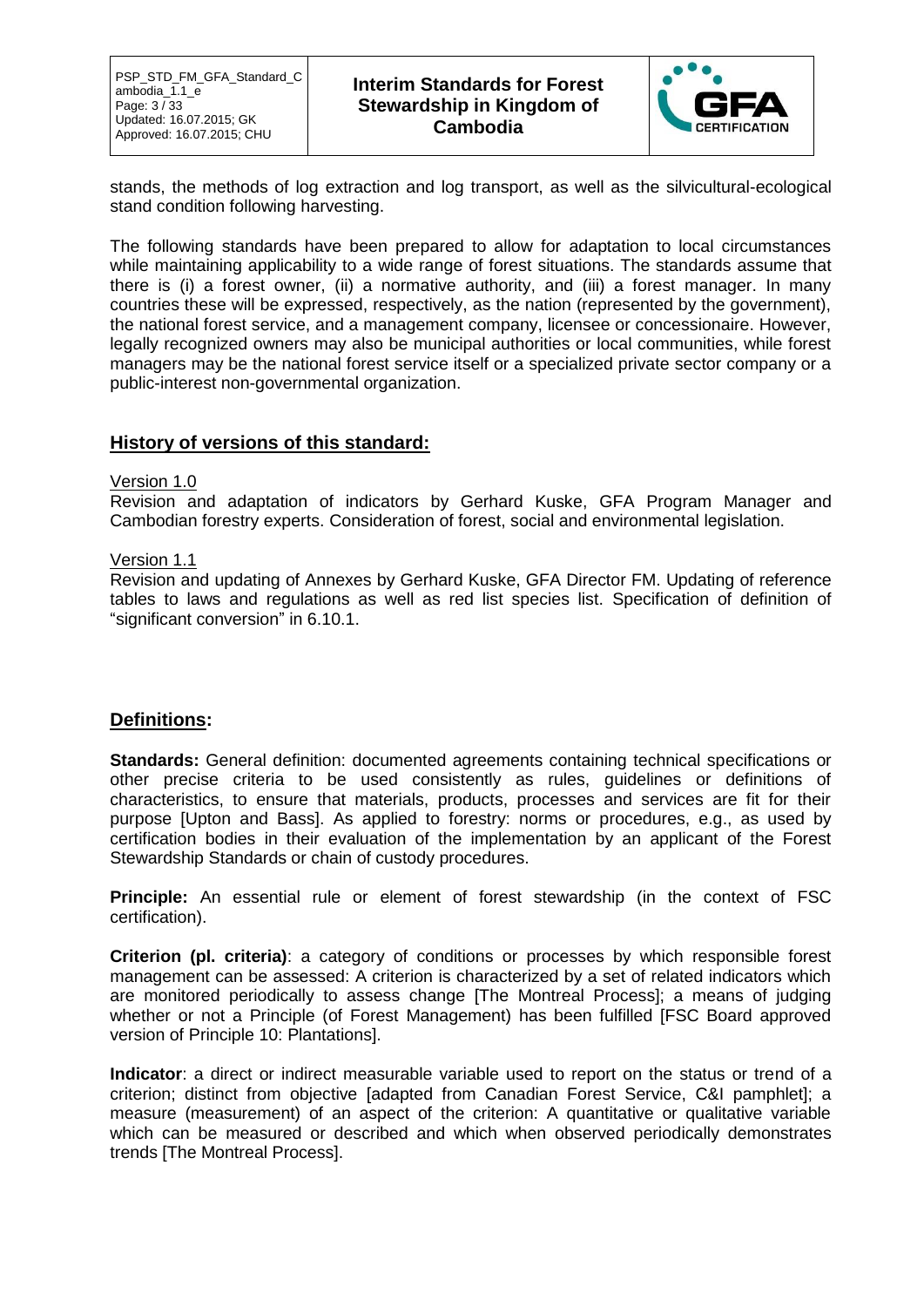

stands, the methods of log extraction and log transport, as well as the silvicultural-ecological stand condition following harvesting.

The following standards have been prepared to allow for adaptation to local circumstances while maintaining applicability to a wide range of forest situations. The standards assume that there is (i) a forest owner, (ii) a normative authority, and (iii) a forest manager. In many countries these will be expressed, respectively, as the nation (represented by the government), the national forest service, and a management company, licensee or concessionaire. However, legally recognized owners may also be municipal authorities or local communities, while forest managers may be the national forest service itself or a specialized private sector company or a public-interest non-governmental organization.

## **History of versions of this standard:**

#### Version 1.0

Revision and adaptation of indicators by Gerhard Kuske, GFA Program Manager and Cambodian forestry experts. Consideration of forest, social and environmental legislation.

#### Version 1.1

Revision and updating of Annexes by Gerhard Kuske, GFA Director FM. Updating of reference tables to laws and regulations as well as red list species list. Specification of definition of "significant conversion" in 6.10.1.

## **Definitions:**

**Standards:** General definition: documented agreements containing technical specifications or other precise criteria to be used consistently as rules, guidelines or definitions of characteristics, to ensure that materials, products, processes and services are fit for their purpose [Upton and Bass]. As applied to forestry: norms or procedures, e.g., as used by certification bodies in their evaluation of the implementation by an applicant of the Forest Stewardship Standards or chain of custody procedures.

**Principle:** An essential rule or element of forest stewardship (in the context of FSC certification).

**Criterion (pl. criteria)**: a category of conditions or processes by which responsible forest management can be assessed: A criterion is characterized by a set of related indicators which are monitored periodically to assess change [The Montreal Process]; a means of judging whether or not a Principle (of Forest Management) has been fulfilled [FSC Board approved version of Principle 10: Plantations].

**Indicator**: a direct or indirect measurable variable used to report on the status or trend of a criterion; distinct from objective [adapted from Canadian Forest Service, C&I pamphlet]; a measure (measurement) of an aspect of the criterion: A quantitative or qualitative variable which can be measured or described and which when observed periodically demonstrates trends [The Montreal Process].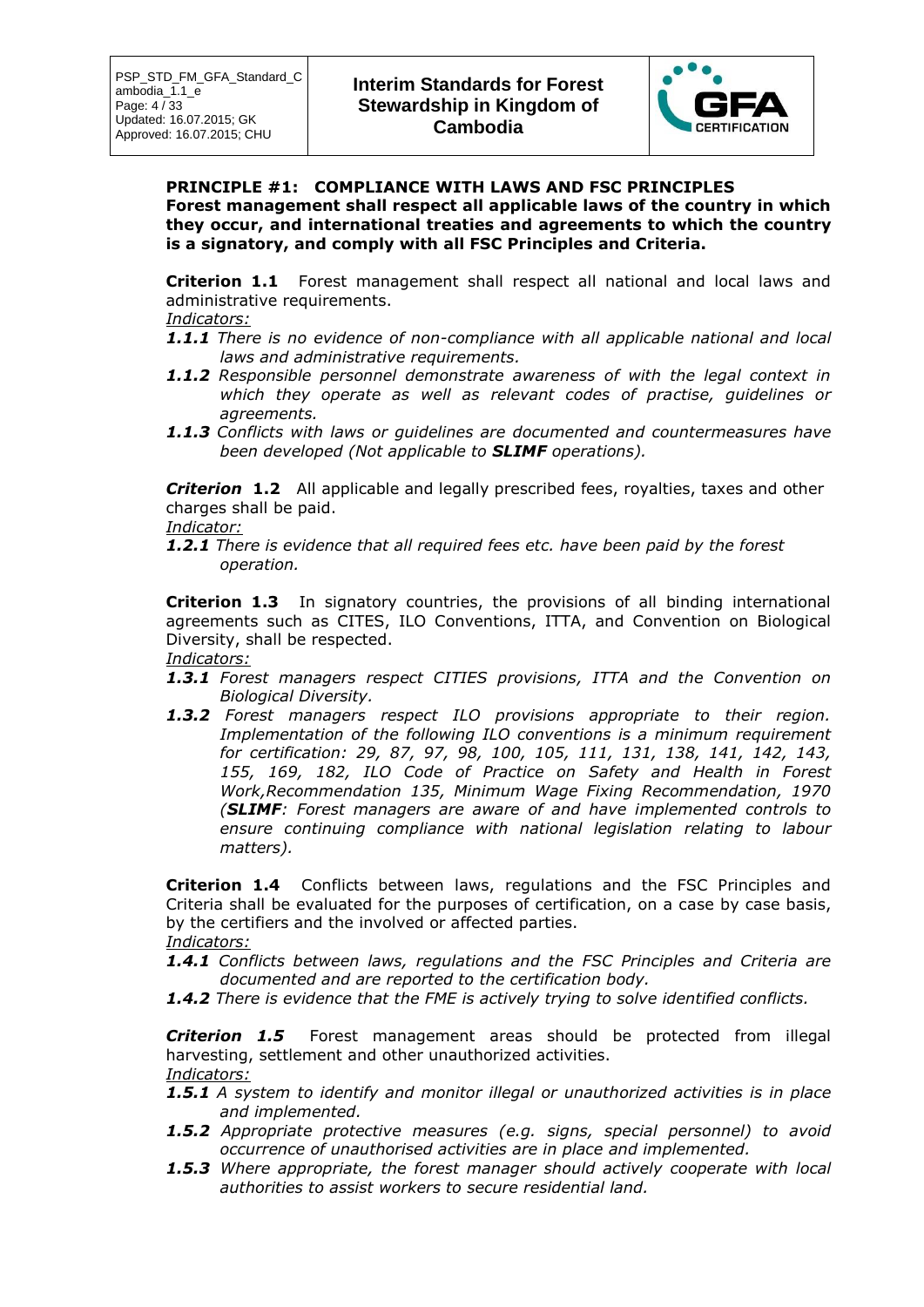

#### **PRINCIPLE #1: COMPLIANCE WITH LAWS AND FSC PRINCIPLES Forest management shall respect all applicable laws of the country in which they occur, and international treaties and agreements to which the country is a signatory, and comply with all FSC Principles and Criteria.**

**Criterion 1.1** Forest management shall respect all national and local laws and administrative requirements.

- *Indicators:*
- *1.1.1 There is no evidence of non-compliance with all applicable national and local laws and administrative requirements.*
- *1.1.2 Responsible personnel demonstrate awareness of with the legal context in which they operate as well as relevant codes of practise, guidelines or agreements.*
- *1.1.3 Conflicts with laws or guidelines are documented and countermeasures have been developed (Not applicable to SLIMF operations).*

**Criterion 1.2** All applicable and legally prescribed fees, royalties, taxes and other charges shall be paid.

- *Indicator:*
- *1.2.1 There is evidence that all required fees etc. have been paid by the forest operation.*

**Criterion 1.3** In signatory countries, the provisions of all binding international agreements such as CITES, ILO Conventions, ITTA, and Convention on Biological Diversity, shall be respected. *Indicators:*

- *1.3.1 Forest managers respect CITIES provisions, ITTA and the Convention on Biological Diversity.*
- *1.3.2 Forest managers respect ILO provisions appropriate to their region. Implementation of the following ILO conventions is a minimum requirement for certification: 29, 87, 97, 98, 100, 105, 111, 131, 138, 141, 142, 143, 155, 169, 182, ILO Code of Practice on Safety and Health in Forest Work,Recommendation 135, Minimum Wage Fixing Recommendation, 1970 (SLIMF: Forest managers are aware of and have implemented controls to ensure continuing compliance with national legislation relating to labour matters).*

**Criterion 1.4** Conflicts between laws, regulations and the FSC Principles and Criteria shall be evaluated for the purposes of certification, on a case by case basis, by the certifiers and the involved or affected parties.

*Indicators:*

- *1.4.1 Conflicts between laws, regulations and the FSC Principles and Criteria are documented and are reported to the certification body.*
- *1.4.2 There is evidence that the FME is actively trying to solve identified conflicts.*

**Criterion 1.5** Forest management areas should be protected from illegal harvesting, settlement and other unauthorized activities. *Indicators:*

- *1.5.1 A system to identify and monitor illegal or unauthorized activities is in place and implemented.*
- *1.5.2 Appropriate protective measures (e.g. signs, special personnel) to avoid occurrence of unauthorised activities are in place and implemented.*
- *1.5.3 Where appropriate, the forest manager should actively cooperate with local authorities to assist workers to secure residential land.*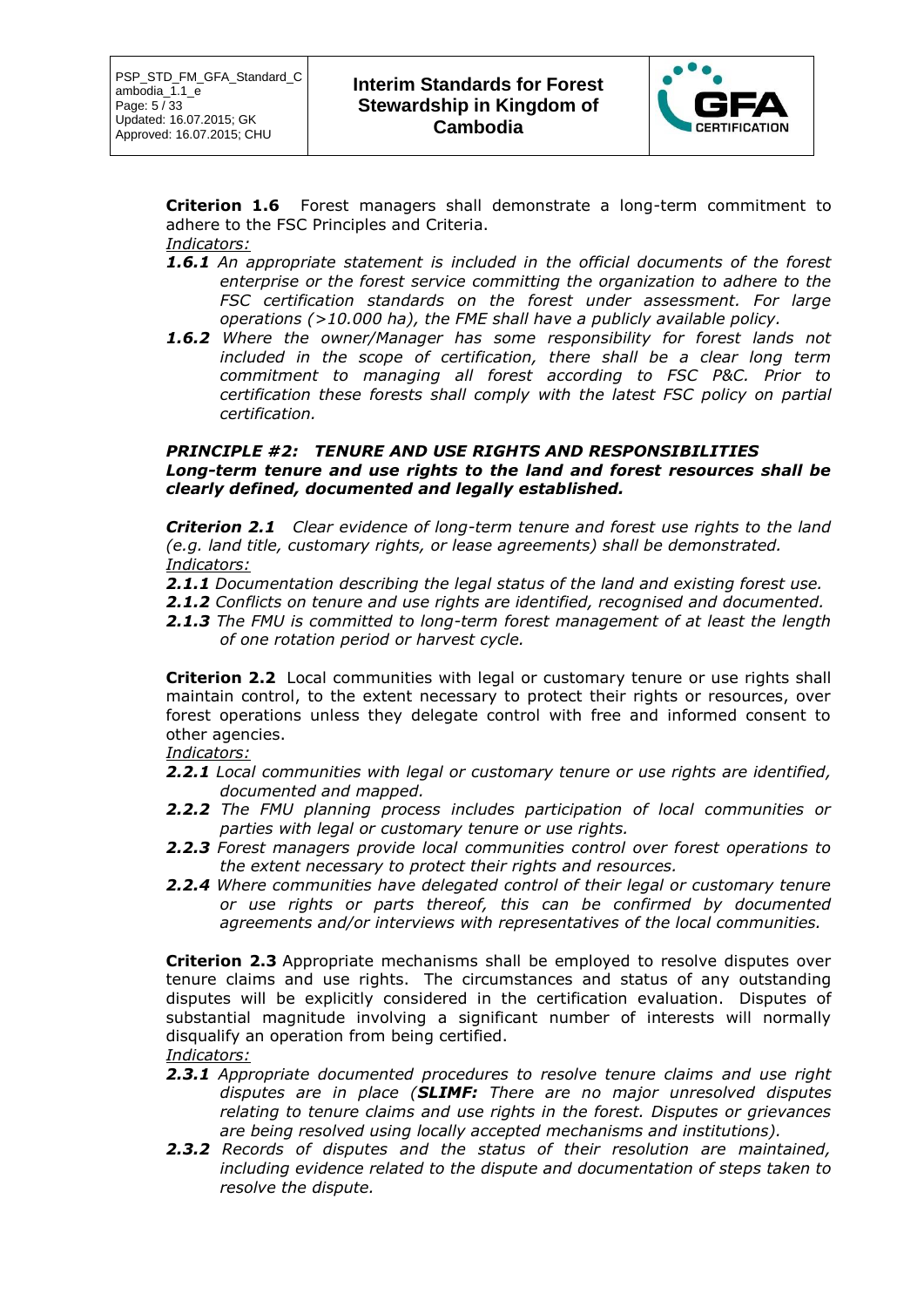

**Criterion 1.6** Forest managers shall demonstrate a long-term commitment to adhere to the FSC Principles and Criteria. *Indicators:*

- *1.6.1 An appropriate statement is included in the official documents of the forest enterprise or the forest service committing the organization to adhere to the FSC certification standards on the forest under assessment. For large operations (>10.000 ha), the FME shall have a publicly available policy.*
- *1.6.2 Where the owner/Manager has some responsibility for forest lands not included in the scope of certification, there shall be a clear long term commitment to managing all forest according to FSC P&C. Prior to certification these forests shall comply with the latest FSC policy on partial certification.*

#### *PRINCIPLE #2: TENURE AND USE RIGHTS AND RESPONSIBILITIES Long-term tenure and use rights to the land and forest resources shall be clearly defined, documented and legally established.*

*Criterion 2.1 Clear evidence of long-term tenure and forest use rights to the land (e.g. land title, customary rights, or lease agreements) shall be demonstrated. Indicators:*

- *2.1.1 Documentation describing the legal status of the land and existing forest use.*
- *2.1.2 Conflicts on tenure and use rights are identified, recognised and documented.*
- *2.1.3 The FMU is committed to long-term forest management of at least the length of one rotation period or harvest cycle.*

**Criterion 2.2** Local communities with legal or customary tenure or use rights shall maintain control, to the extent necessary to protect their rights or resources, over forest operations unless they delegate control with free and informed consent to other agencies.

## *Indicators:*

- *2.2.1 Local communities with legal or customary tenure or use rights are identified, documented and mapped.*
- *2.2.2 The FMU planning process includes participation of local communities or parties with legal or customary tenure or use rights.*
- *2.2.3 Forest managers provide local communities control over forest operations to the extent necessary to protect their rights and resources.*
- *2.2.4 Where communities have delegated control of their legal or customary tenure or use rights or parts thereof, this can be confirmed by documented agreements and/or interviews with representatives of the local communities.*

**Criterion 2.3** Appropriate mechanisms shall be employed to resolve disputes over tenure claims and use rights. The circumstances and status of any outstanding disputes will be explicitly considered in the certification evaluation. Disputes of substantial magnitude involving a significant number of interests will normally disqualify an operation from being certified.

- *2.3.1 Appropriate documented procedures to resolve tenure claims and use right disputes are in place (SLIMF: There are no major unresolved disputes relating to tenure claims and use rights in the forest. Disputes or grievances are being resolved using locally accepted mechanisms and institutions).*
- *2.3.2 Records of disputes and the status of their resolution are maintained, including evidence related to the dispute and documentation of steps taken to resolve the dispute.*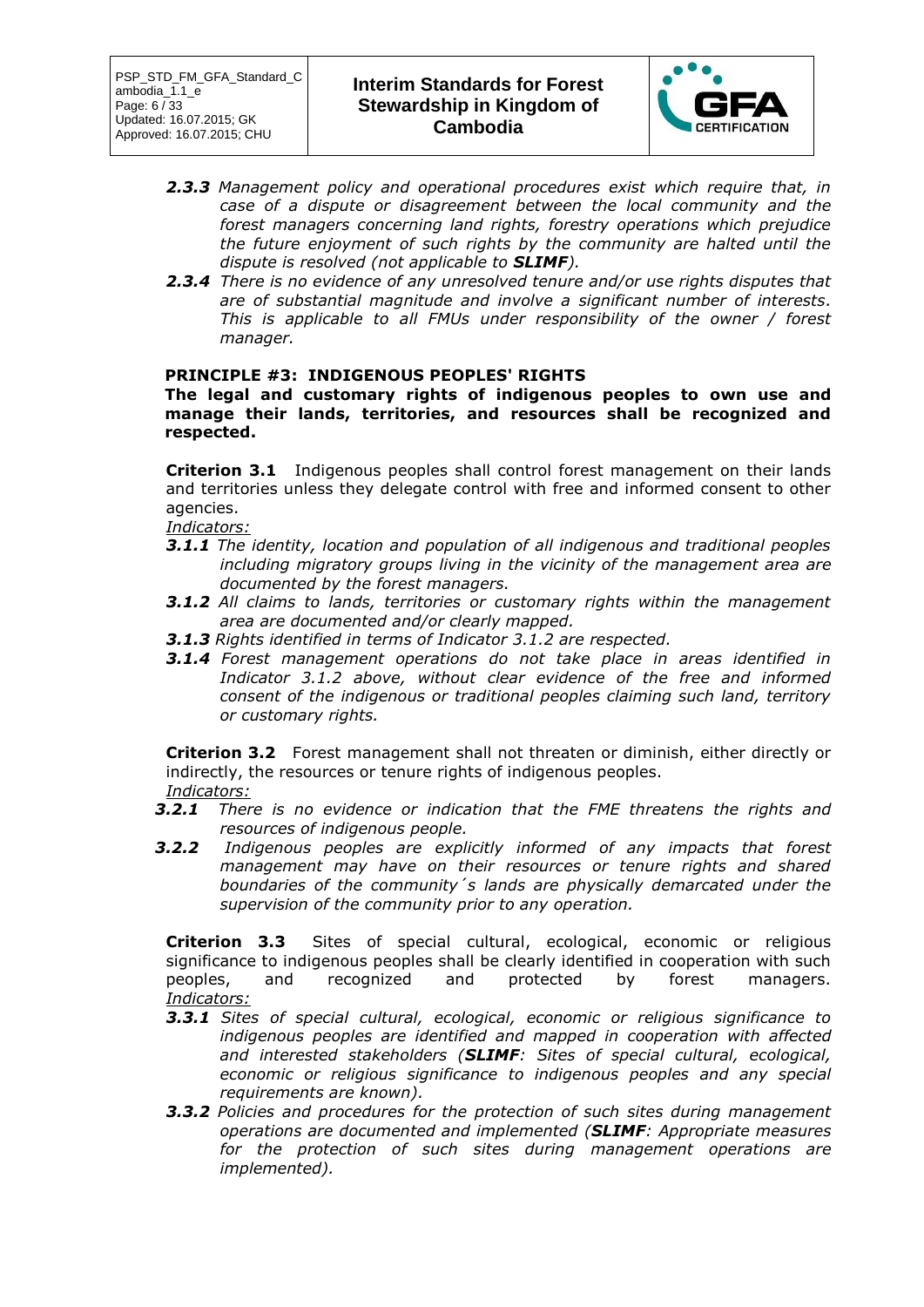

- *2.3.3 Management policy and operational procedures exist which require that, in case of a dispute or disagreement between the local community and the forest managers concerning land rights, forestry operations which prejudice the future enjoyment of such rights by the community are halted until the dispute is resolved (not applicable to SLIMF).*
- *2.3.4 There is no evidence of any unresolved tenure and/or use rights disputes that are of substantial magnitude and involve a significant number of interests. This is applicable to all FMUs under responsibility of the owner / forest manager.*

#### **PRINCIPLE #3: INDIGENOUS PEOPLES' RIGHTS**

**The legal and customary rights of indigenous peoples to own use and manage their lands, territories, and resources shall be recognized and respected.**

**Criterion 3.1** Indigenous peoples shall control forest management on their lands and territories unless they delegate control with free and informed consent to other agencies.

*Indicators:*

- *3.1.1 The identity, location and population of all indigenous and traditional peoples including migratory groups living in the vicinity of the management area are documented by the forest managers.*
- *3.1.2 All claims to lands, territories or customary rights within the management area are documented and/or clearly mapped.*
- *3.1.3 Rights identified in terms of Indicator 3.1.2 are respected.*
- *3.1.4 Forest management operations do not take place in areas identified in Indicator 3.1.2 above, without clear evidence of the free and informed consent of the indigenous or traditional peoples claiming such land, territory or customary rights.*

**Criterion 3.2** Forest management shall not threaten or diminish, either directly or indirectly, the resources or tenure rights of indigenous peoples. *Indicators:*

- *3.2.1 There is no evidence or indication that the FME threatens the rights and resources of indigenous people.*
- *3.2.2 Indigenous peoples are explicitly informed of any impacts that forest management may have on their resources or tenure rights and shared boundaries of the community´s lands are physically demarcated under the supervision of the community prior to any operation.*

**Criterion 3.3** Sites of special cultural, ecological, economic or religious significance to indigenous peoples shall be clearly identified in cooperation with such peoples, and recognized and protected by forest managers. *Indicators:*

- *3.3.1 Sites of special cultural, ecological, economic or religious significance to indigenous peoples are identified and mapped in cooperation with affected and interested stakeholders (SLIMF: Sites of special cultural, ecological, economic or religious significance to indigenous peoples and any special requirements are known).*
- *3.3.2 Policies and procedures for the protection of such sites during management operations are documented and implemented (SLIMF: Appropriate measures for the protection of such sites during management operations are implemented).*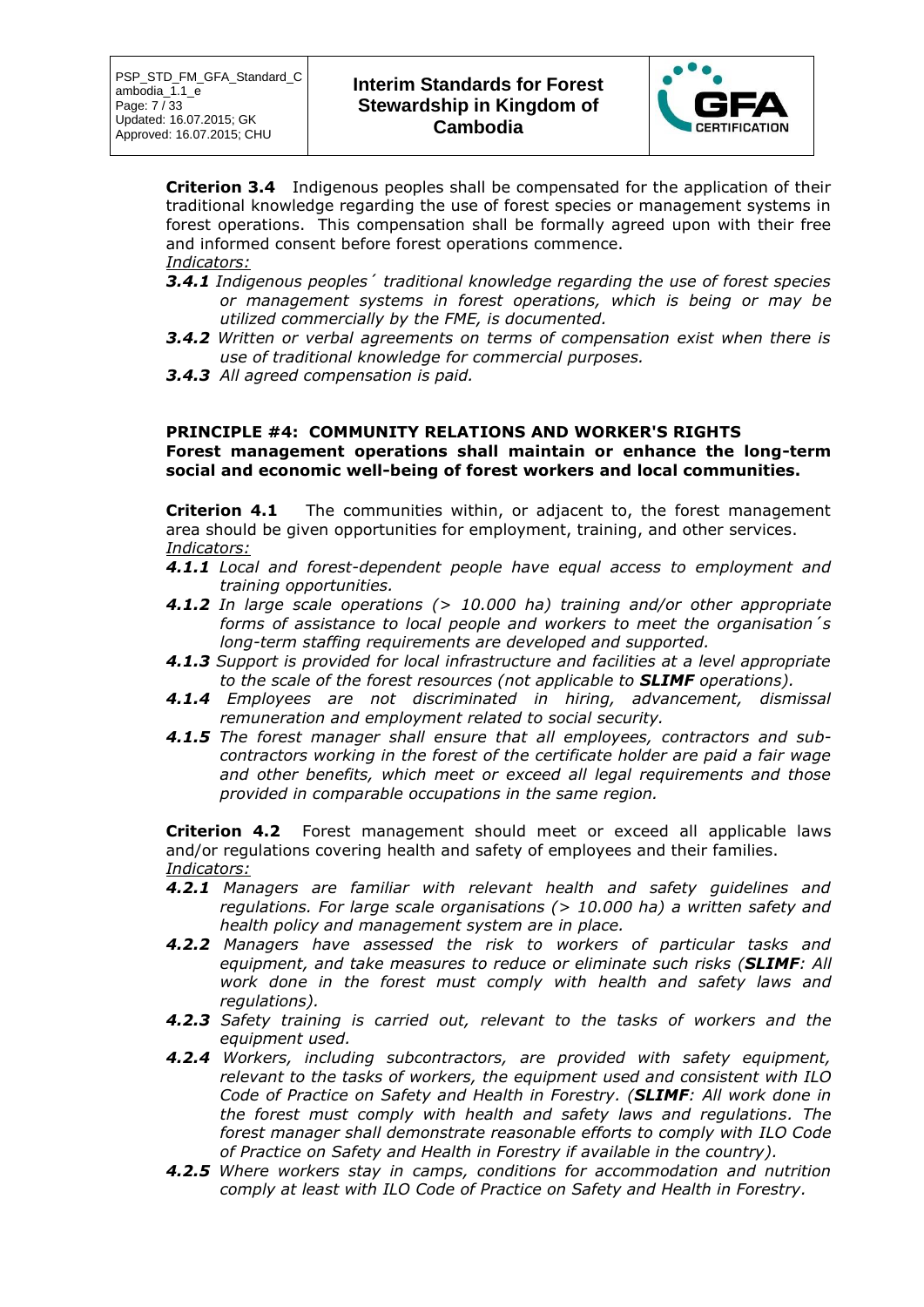

**Criterion 3.4** Indigenous peoples shall be compensated for the application of their traditional knowledge regarding the use of forest species or management systems in forest operations. This compensation shall be formally agreed upon with their free and informed consent before forest operations commence.

*Indicators:*

- *3.4.1 Indigenous peoples´ traditional knowledge regarding the use of forest species or management systems in forest operations, which is being or may be utilized commercially by the FME, is documented.*
- *3.4.2 Written or verbal agreements on terms of compensation exist when there is use of traditional knowledge for commercial purposes.*
- *3.4.3 All agreed compensation is paid.*

#### **PRINCIPLE #4: COMMUNITY RELATIONS AND WORKER'S RIGHTS Forest management operations shall maintain or enhance the long-term social and economic well-being of forest workers and local communities.**

**Criterion 4.1** The communities within, or adjacent to, the forest management area should be given opportunities for employment, training, and other services. *Indicators:*

- *4.1.1 Local and forest-dependent people have equal access to employment and training opportunities.*
- *4.1.2 In large scale operations (> 10.000 ha) training and/or other appropriate forms of assistance to local people and workers to meet the organisation´s long-term staffing requirements are developed and supported.*
- *4.1.3 Support is provided for local infrastructure and facilities at a level appropriate to the scale of the forest resources (not applicable to SLIMF operations).*
- *4.1.4 Employees are not discriminated in hiring, advancement, dismissal remuneration and employment related to social security.*
- *4.1.5 The forest manager shall ensure that all employees, contractors and subcontractors working in the forest of the certificate holder are paid a fair wage and other benefits, which meet or exceed all legal requirements and those provided in comparable occupations in the same region.*

**Criterion 4.2** Forest management should meet or exceed all applicable laws and/or regulations covering health and safety of employees and their families. *Indicators:*

- *4.2.1 Managers are familiar with relevant health and safety guidelines and regulations. For large scale organisations (> 10.000 ha) a written safety and health policy and management system are in place.*
- *4.2.2 Managers have assessed the risk to workers of particular tasks and equipment, and take measures to reduce or eliminate such risks (SLIMF: All work done in the forest must comply with health and safety laws and regulations).*
- *4.2.3 Safety training is carried out, relevant to the tasks of workers and the equipment used.*
- *4.2.4 Workers, including subcontractors, are provided with safety equipment, relevant to the tasks of workers, the equipment used and consistent with ILO Code of Practice on Safety and Health in Forestry. (SLIMF: All work done in the forest must comply with health and safety laws and regulations. The forest manager shall demonstrate reasonable efforts to comply with ILO Code of Practice on Safety and Health in Forestry if available in the country).*
- *4.2.5 Where workers stay in camps, conditions for accommodation and nutrition comply at least with ILO Code of Practice on Safety and Health in Forestry.*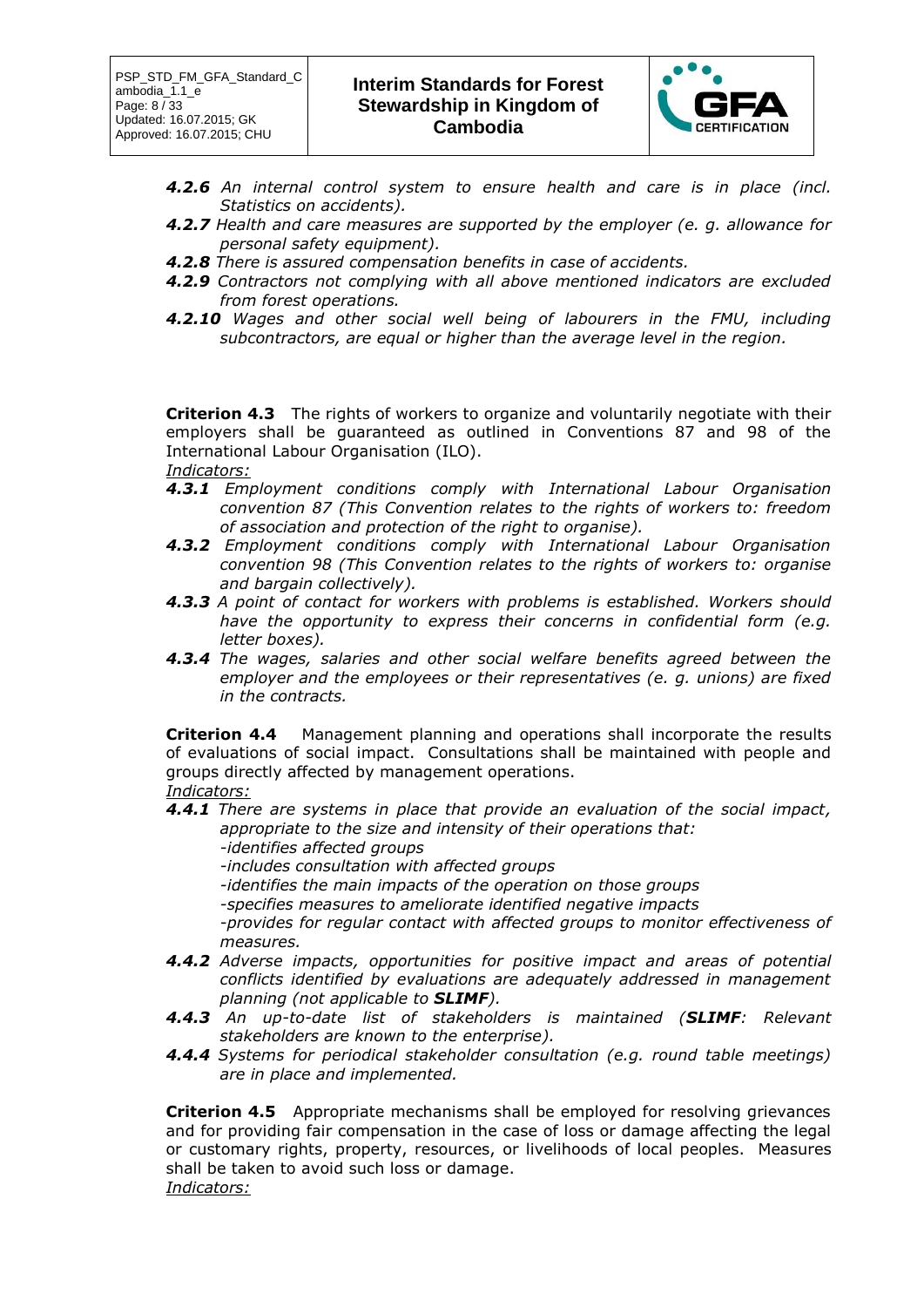

- *4.2.6 An internal control system to ensure health and care is in place (incl. Statistics on accidents).*
- *4.2.7 Health and care measures are supported by the employer (e. g. allowance for personal safety equipment).*
- *4.2.8 There is assured compensation benefits in case of accidents.*
- *4.2.9 Contractors not complying with all above mentioned indicators are excluded from forest operations.*
- *4.2.10 Wages and other social well being of labourers in the FMU, including subcontractors, are equal or higher than the average level in the region.*

**Criterion 4.3** The rights of workers to organize and voluntarily negotiate with their employers shall be guaranteed as outlined in Conventions 87 and 98 of the International Labour Organisation (ILO). *Indicators:*

- *4.3.1 Employment conditions comply with International Labour Organisation convention 87 (This Convention relates to the rights of workers to: freedom of association and protection of the right to organise).*
- *4.3.2 Employment conditions comply with International Labour Organisation convention 98 (This Convention relates to the rights of workers to: organise and bargain collectively).*
- *4.3.3 A point of contact for workers with problems is established. Workers should have the opportunity to express their concerns in confidential form (e.g. letter boxes).*
- *4.3.4 The wages, salaries and other social welfare benefits agreed between the employer and the employees or their representatives (e. g. unions) are fixed in the contracts.*

**Criterion 4.4** Management planning and operations shall incorporate the results of evaluations of social impact. Consultations shall be maintained with people and groups directly affected by management operations.

*Indicators:*

*4.4.1 There are systems in place that provide an evaluation of the social impact, appropriate to the size and intensity of their operations that:*

*-identifies affected groups*

*-includes consultation with affected groups*

- *-identifies the main impacts of the operation on those groups*
- *-specifies measures to ameliorate identified negative impacts*

*-provides for regular contact with affected groups to monitor effectiveness of measures.*

- *4.4.2 Adverse impacts, opportunities for positive impact and areas of potential conflicts identified by evaluations are adequately addressed in management planning (not applicable to SLIMF).*
- *4.4.3 An up-to-date list of stakeholders is maintained (SLIMF: Relevant stakeholders are known to the enterprise).*
- *4.4.4 Systems for periodical stakeholder consultation (e.g. round table meetings) are in place and implemented.*

**Criterion 4.5** Appropriate mechanisms shall be employed for resolving grievances and for providing fair compensation in the case of loss or damage affecting the legal or customary rights, property, resources, or livelihoods of local peoples. Measures shall be taken to avoid such loss or damage. *Indicators:*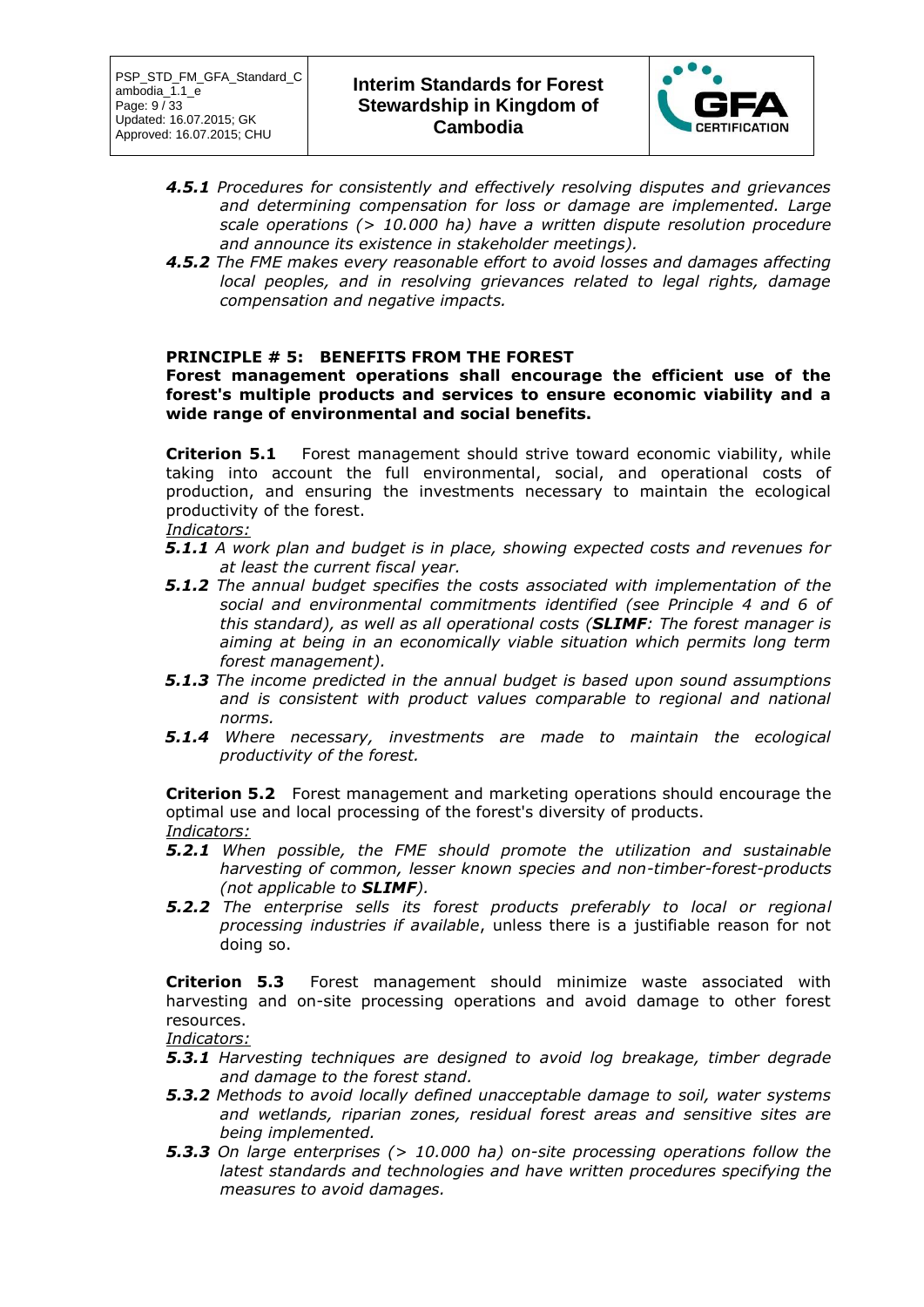

- *4.5.1 Procedures for consistently and effectively resolving disputes and grievances and determining compensation for loss or damage are implemented. Large scale operations (> 10.000 ha) have a written dispute resolution procedure and announce its existence in stakeholder meetings).*
- *4.5.2 The FME makes every reasonable effort to avoid losses and damages affecting local peoples, and in resolving grievances related to legal rights, damage compensation and negative impacts.*

## **PRINCIPLE # 5: BENEFITS FROM THE FOREST**

**Forest management operations shall encourage the efficient use of the forest's multiple products and services to ensure economic viability and a wide range of environmental and social benefits.**

**Criterion 5.1** Forest management should strive toward economic viability, while taking into account the full environmental, social, and operational costs of production, and ensuring the investments necessary to maintain the ecological productivity of the forest.

*Indicators:*

- *5.1.1 A work plan and budget is in place, showing expected costs and revenues for at least the current fiscal year.*
- *5.1.2 The annual budget specifies the costs associated with implementation of the social and environmental commitments identified (see Principle 4 and 6 of this standard), as well as all operational costs (SLIMF: The forest manager is aiming at being in an economically viable situation which permits long term forest management).*
- *5.1.3 The income predicted in the annual budget is based upon sound assumptions and is consistent with product values comparable to regional and national norms.*
- *5.1.4 Where necessary, investments are made to maintain the ecological productivity of the forest.*

**Criterion 5.2** Forest management and marketing operations should encourage the optimal use and local processing of the forest's diversity of products. *Indicators:*

- *5.2.1 When possible, the FME should promote the utilization and sustainable harvesting of common, lesser known species and non-timber-forest-products (not applicable to SLIMF).*
- *5.2.2 The enterprise sells its forest products preferably to local or regional processing industries if available*, unless there is a justifiable reason for not doing so.

**Criterion 5.3** Forest management should minimize waste associated with harvesting and on-site processing operations and avoid damage to other forest resources.

- *5.3.1 Harvesting techniques are designed to avoid log breakage, timber degrade and damage to the forest stand.*
- *5.3.2 Methods to avoid locally defined unacceptable damage to soil, water systems and wetlands, riparian zones, residual forest areas and sensitive sites are being implemented.*
- *5.3.3 On large enterprises (> 10.000 ha) on-site processing operations follow the latest standards and technologies and have written procedures specifying the measures to avoid damages.*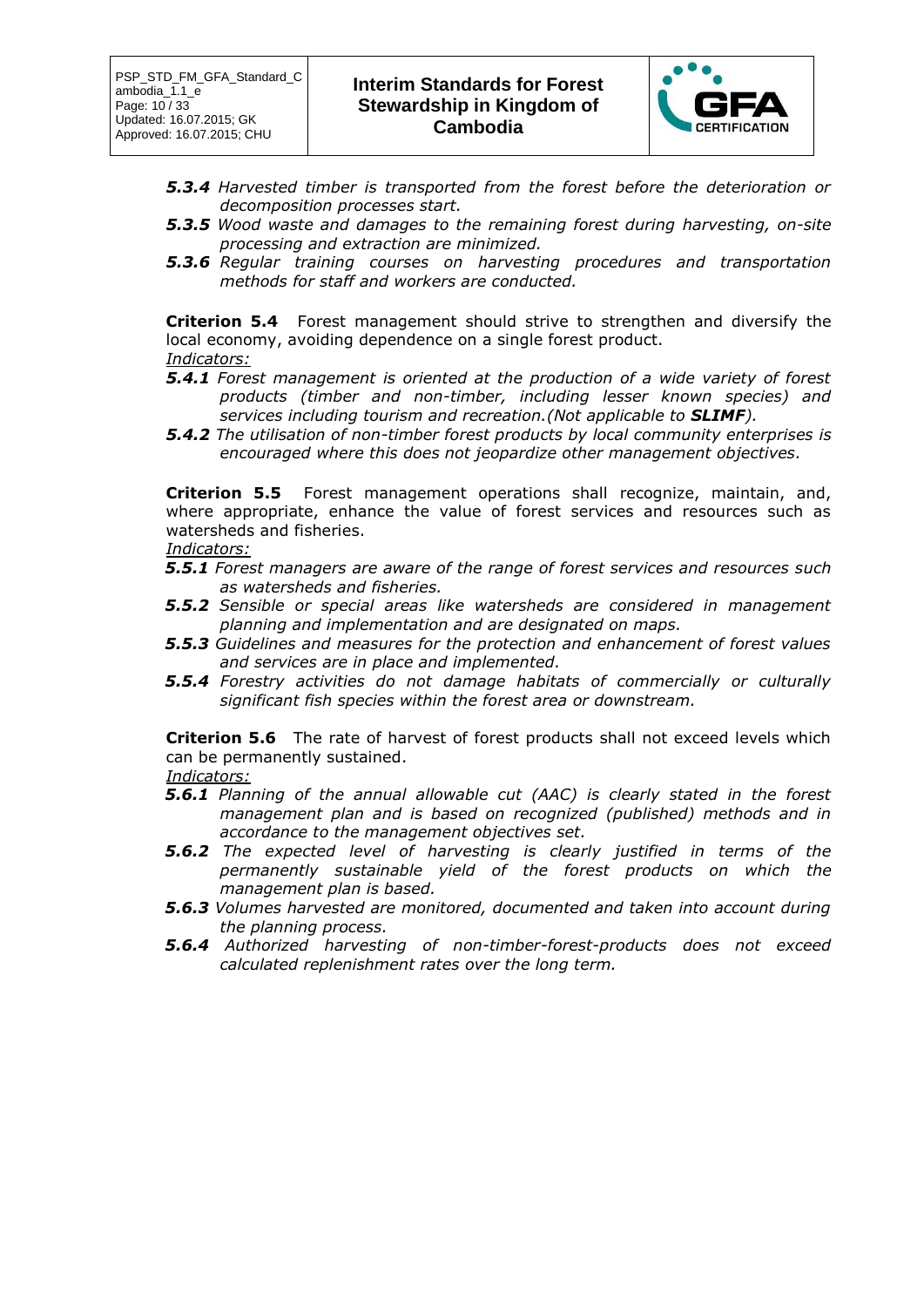

- *5.3.4 Harvested timber is transported from the forest before the deterioration or decomposition processes start.*
- *5.3.5 Wood waste and damages to the remaining forest during harvesting, on-site processing and extraction are minimized.*
- *5.3.6 Regular training courses on harvesting procedures and transportation methods for staff and workers are conducted.*

**Criterion 5.4** Forest management should strive to strengthen and diversify the local economy, avoiding dependence on a single forest product. *Indicators:*

- *5.4.1 Forest management is oriented at the production of a wide variety of forest products (timber and non-timber, including lesser known species) and services including tourism and recreation.(Not applicable to SLIMF).*
- *5.4.2 The utilisation of non-timber forest products by local community enterprises is encouraged where this does not jeopardize other management objectives.*

**Criterion 5.5** Forest management operations shall recognize, maintain, and, where appropriate, enhance the value of forest services and resources such as watersheds and fisheries.

*Indicators:*

- *5.5.1 Forest managers are aware of the range of forest services and resources such as watersheds and fisheries.*
- *5.5.2 Sensible or special areas like watersheds are considered in management planning and implementation and are designated on maps.*
- *5.5.3 Guidelines and measures for the protection and enhancement of forest values and services are in place and implemented.*
- *5.5.4 Forestry activities do not damage habitats of commercially or culturally significant fish species within the forest area or downstream.*

**Criterion 5.6** The rate of harvest of forest products shall not exceed levels which can be permanently sustained.

- *5.6.1 Planning of the annual allowable cut (AAC) is clearly stated in the forest management plan and is based on recognized (published) methods and in accordance to the management objectives set.*
- *5.6.2 The expected level of harvesting is clearly justified in terms of the permanently sustainable yield of the forest products on which the management plan is based.*
- *5.6.3 Volumes harvested are monitored, documented and taken into account during the planning process.*
- *5.6.4 Authorized harvesting of non-timber-forest-products does not exceed calculated replenishment rates over the long term.*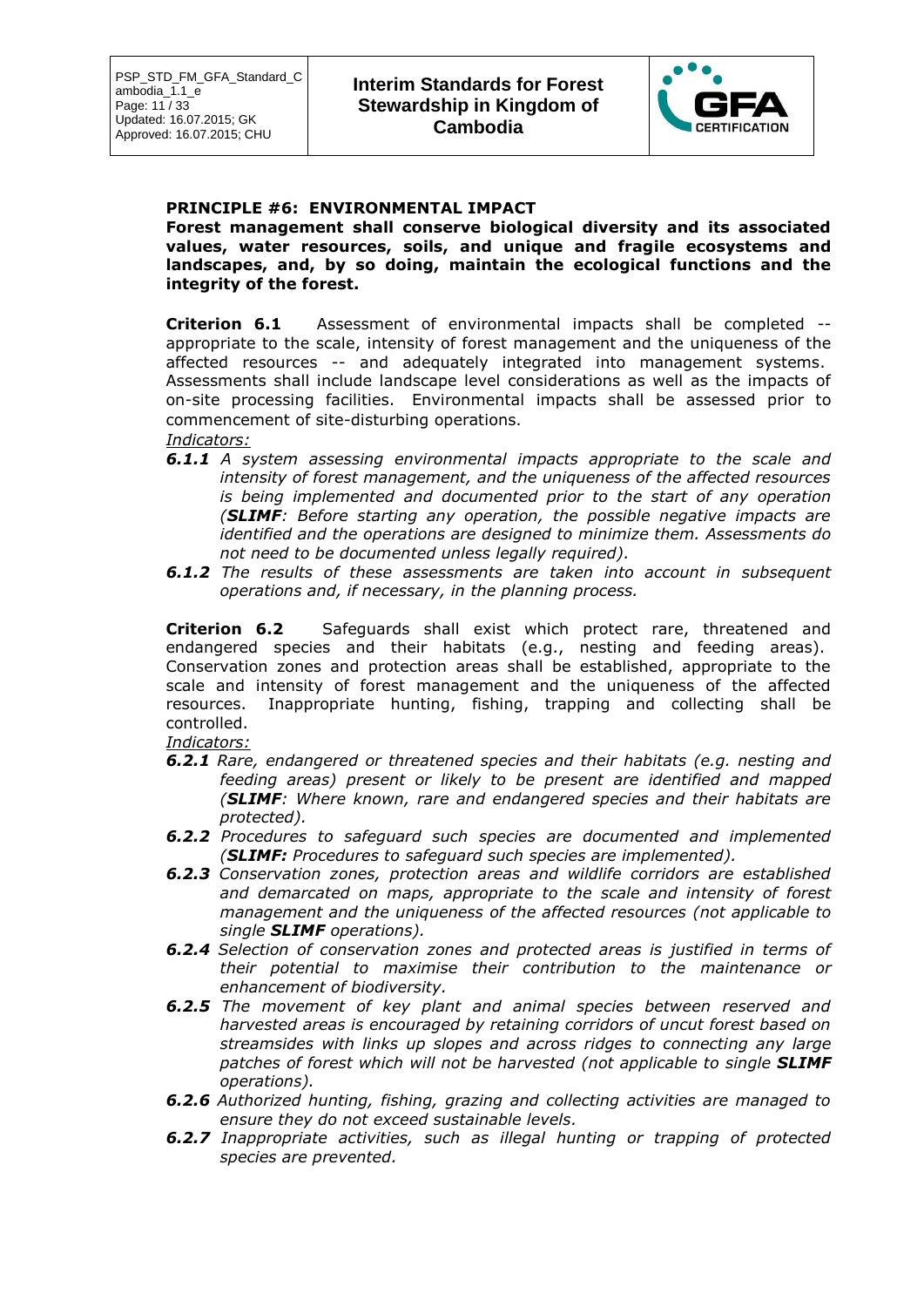

## **PRINCIPLE #6: ENVIRONMENTAL IMPACT**

**Forest management shall conserve biological diversity and its associated values, water resources, soils, and unique and fragile ecosystems and landscapes, and, by so doing, maintain the ecological functions and the integrity of the forest.**

**Criterion 6.1** Assessment of environmental impacts shall be completed - appropriate to the scale, intensity of forest management and the uniqueness of the affected resources -- and adequately integrated into management systems. Assessments shall include landscape level considerations as well as the impacts of on-site processing facilities. Environmental impacts shall be assessed prior to commencement of site-disturbing operations.

#### *Indicators:*

- *6.1.1 A system assessing environmental impacts appropriate to the scale and intensity of forest management, and the uniqueness of the affected resources is being implemented and documented prior to the start of any operation (SLIMF: Before starting any operation, the possible negative impacts are identified and the operations are designed to minimize them. Assessments do not need to be documented unless legally required).*
- *6.1.2 The results of these assessments are taken into account in subsequent operations and, if necessary, in the planning process.*

**Criterion 6.2** Safeguards shall exist which protect rare, threatened and endangered species and their habitats (e.g., nesting and feeding areas). Conservation zones and protection areas shall be established, appropriate to the scale and intensity of forest management and the uniqueness of the affected resources. Inappropriate hunting, fishing, trapping and collecting shall be controlled.

- *6.2.1 Rare, endangered or threatened species and their habitats (e.g. nesting and feeding areas) present or likely to be present are identified and mapped (SLIMF: Where known, rare and endangered species and their habitats are protected).*
- *6.2.2 Procedures to safeguard such species are documented and implemented (SLIMF: Procedures to safeguard such species are implemented).*
- *6.2.3 Conservation zones, protection areas and wildlife corridors are established and demarcated on maps, appropriate to the scale and intensity of forest management and the uniqueness of the affected resources (not applicable to single SLIMF operations).*
- *6.2.4 Selection of conservation zones and protected areas is justified in terms of their potential to maximise their contribution to the maintenance or enhancement of biodiversity.*
- *6.2.5 The movement of key plant and animal species between reserved and harvested areas is encouraged by retaining corridors of uncut forest based on streamsides with links up slopes and across ridges to connecting any large patches of forest which will not be harvested (not applicable to single SLIMF operations).*
- *6.2.6 Authorized hunting, fishing, grazing and collecting activities are managed to ensure they do not exceed sustainable levels.*
- *6.2.7 Inappropriate activities, such as illegal hunting or trapping of protected species are prevented.*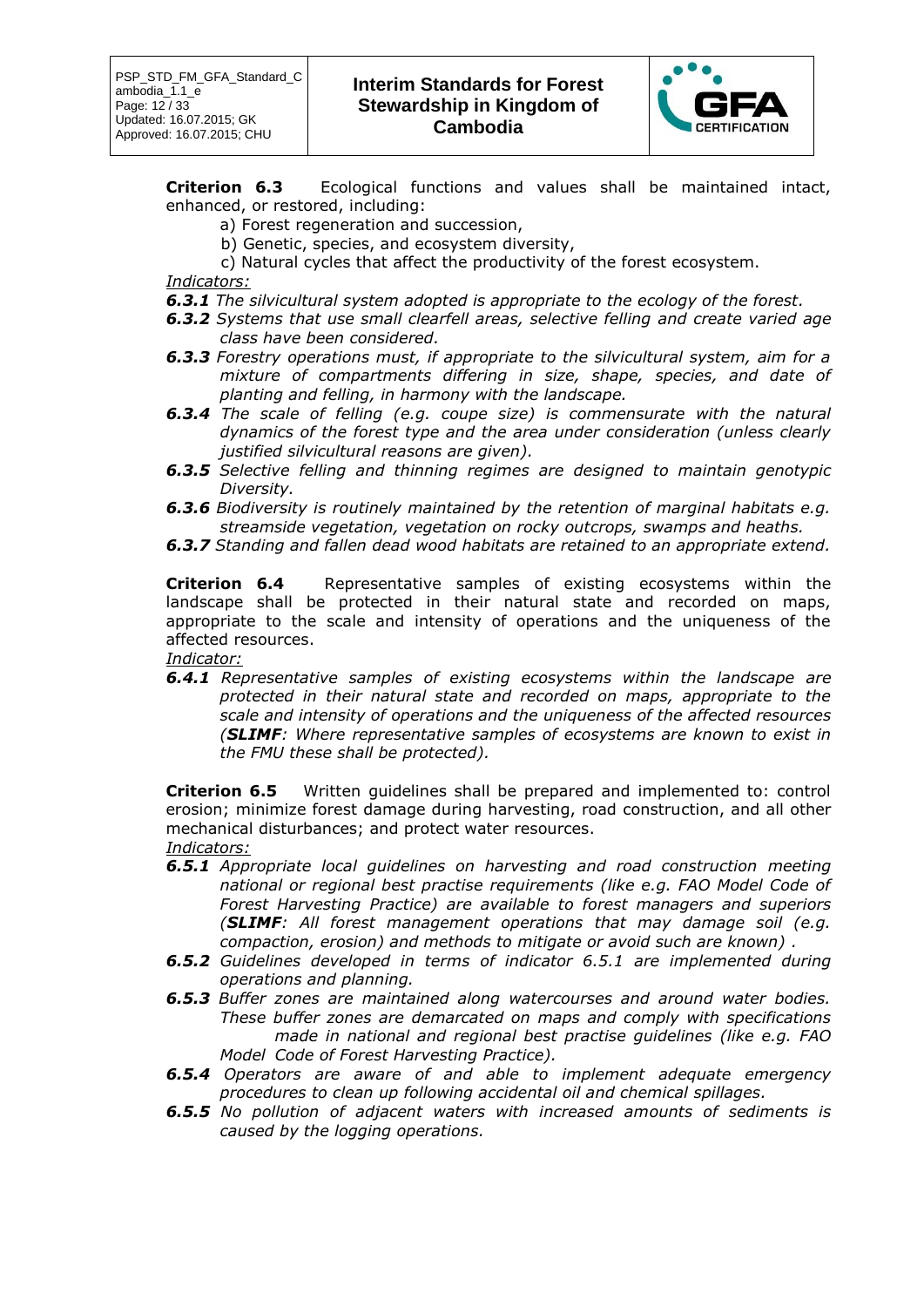

**Criterion 6.3** Ecological functions and values shall be maintained intact, enhanced, or restored, including:

- a) Forest regeneration and succession,
- b) Genetic, species, and ecosystem diversity,

c) Natural cycles that affect the productivity of the forest ecosystem.

*Indicators:*

- *6.3.1 The silvicultural system adopted is appropriate to the ecology of the forest.*
- *6.3.2 Systems that use small clearfell areas, selective felling and create varied age class have been considered.*
- *6.3.3 Forestry operations must, if appropriate to the silvicultural system, aim for a mixture of compartments differing in size, shape, species, and date of planting and felling, in harmony with the landscape.*
- *6.3.4 The scale of felling (e.g. coupe size) is commensurate with the natural dynamics of the forest type and the area under consideration (unless clearly justified silvicultural reasons are given).*
- *6.3.5 Selective felling and thinning regimes are designed to maintain genotypic Diversity.*
- *6.3.6 Biodiversity is routinely maintained by the retention of marginal habitats e.g. streamside vegetation, vegetation on rocky outcrops, swamps and heaths.*
- *6.3.7 Standing and fallen dead wood habitats are retained to an appropriate extend.*

**Criterion 6.4** Representative samples of existing ecosystems within the landscape shall be protected in their natural state and recorded on maps, appropriate to the scale and intensity of operations and the uniqueness of the affected resources.

#### *Indicator:*

*6.4.1 Representative samples of existing ecosystems within the landscape are protected in their natural state and recorded on maps, appropriate to the scale and intensity of operations and the uniqueness of the affected resources (SLIMF: Where representative samples of ecosystems are known to exist in the FMU these shall be protected).*

**Criterion 6.5** Written guidelines shall be prepared and implemented to: control erosion; minimize forest damage during harvesting, road construction, and all other mechanical disturbances; and protect water resources. *Indicators:*

- *6.5.1 Appropriate local guidelines on harvesting and road construction meeting national or regional best practise requirements (like e.g. FAO Model Code of Forest Harvesting Practice) are available to forest managers and superiors (SLIMF: All forest management operations that may damage soil (e.g. compaction, erosion) and methods to mitigate or avoid such are known) .*
- *6.5.2 Guidelines developed in terms of indicator 6.5.1 are implemented during operations and planning.*
- *6.5.3 Buffer zones are maintained along watercourses and around water bodies. These buffer zones are demarcated on maps and comply with specifications made in national and regional best practise guidelines (like e.g. FAO Model Code of Forest Harvesting Practice).*
- *6.5.4 Operators are aware of and able to implement adequate emergency procedures to clean up following accidental oil and chemical spillages.*
- *6.5.5 No pollution of adjacent waters with increased amounts of sediments is caused by the logging operations.*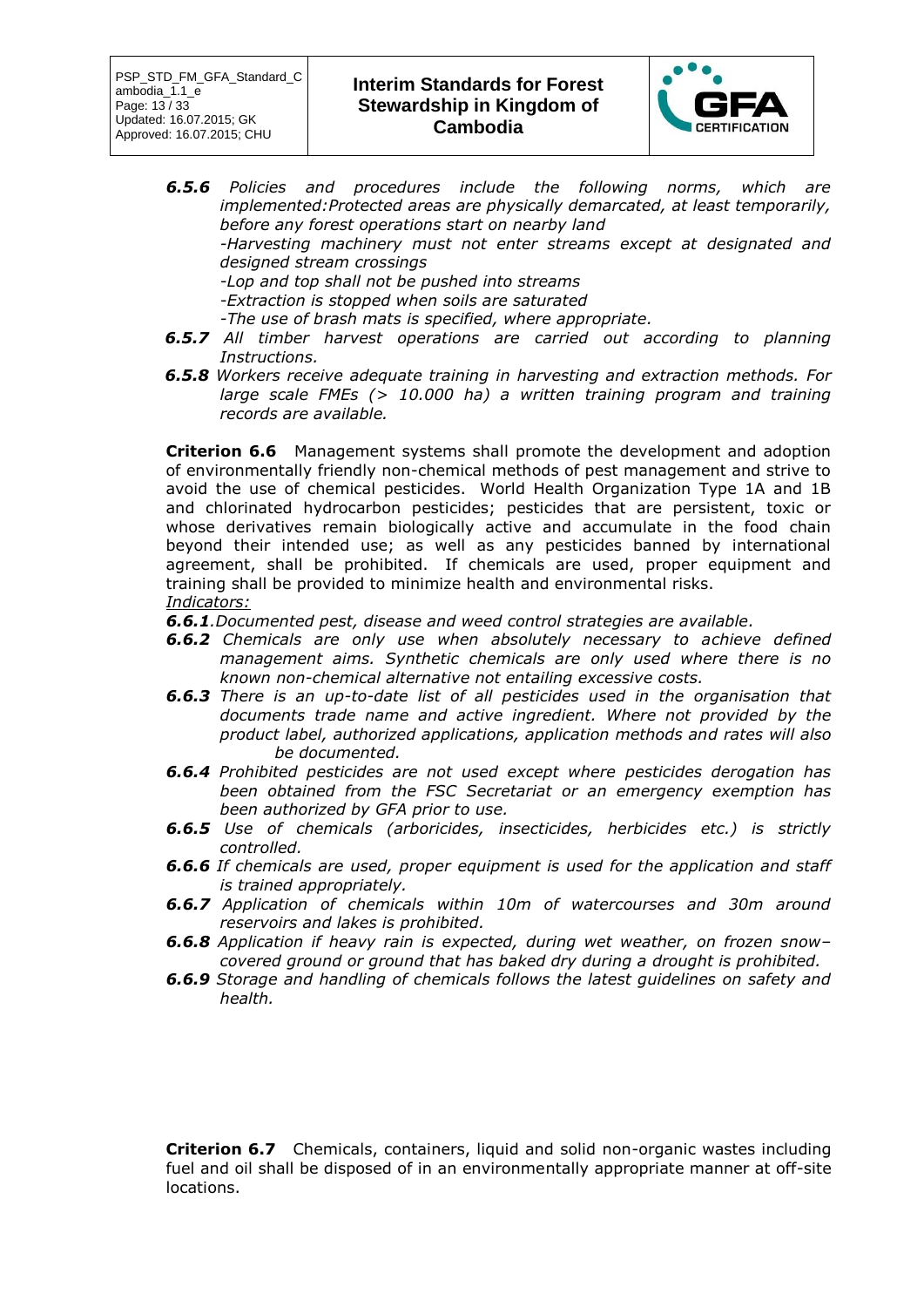

*6.5.6 Policies and procedures include the following norms, which are implemented:Protected areas are physically demarcated, at least temporarily, before any forest operations start on nearby land*

*-Harvesting machinery must not enter streams except at designated and designed stream crossings* 

*-Lop and top shall not be pushed into streams*

*-Extraction is stopped when soils are saturated*

*-The use of brash mats is specified, where appropriate.*

- *6.5.7 All timber harvest operations are carried out according to planning Instructions.*
- *6.5.8 Workers receive adequate training in harvesting and extraction methods. For large scale FMEs (> 10.000 ha) a written training program and training records are available.*

**Criterion 6.6** Management systems shall promote the development and adoption of environmentally friendly non-chemical methods of pest management and strive to avoid the use of chemical pesticides. World Health Organization Type 1A and 1B and chlorinated hydrocarbon pesticides; pesticides that are persistent, toxic or whose derivatives remain biologically active and accumulate in the food chain beyond their intended use; as well as any pesticides banned by international agreement, shall be prohibited. If chemicals are used, proper equipment and training shall be provided to minimize health and environmental risks. *Indicators:*

*6.6.1.Documented pest, disease and weed control strategies are available.*

- *6.6.2 Chemicals are only use when absolutely necessary to achieve defined management aims. Synthetic chemicals are only used where there is no known non-chemical alternative not entailing excessive costs.*
- *6.6.3 There is an up-to-date list of all pesticides used in the organisation that documents trade name and active ingredient. Where not provided by the product label, authorized applications, application methods and rates will also be documented.*
- *6.6.4 Prohibited pesticides are not used except where pesticides derogation has been obtained from the FSC Secretariat or an emergency exemption has been authorized by GFA prior to use.*
- *6.6.5 Use of chemicals (arboricides, insecticides, herbicides etc.) is strictly controlled.*
- *6.6.6 If chemicals are used, proper equipment is used for the application and staff is trained appropriately.*
- *6.6.7 Application of chemicals within 10m of watercourses and 30m around reservoirs and lakes is prohibited.*
- *6.6.8 Application if heavy rain is expected, during wet weather, on frozen snow– covered ground or ground that has baked dry during a drought is prohibited.*
- *6.6.9 Storage and handling of chemicals follows the latest guidelines on safety and health.*

**Criterion 6.7** Chemicals, containers, liquid and solid non-organic wastes including fuel and oil shall be disposed of in an environmentally appropriate manner at off-site locations.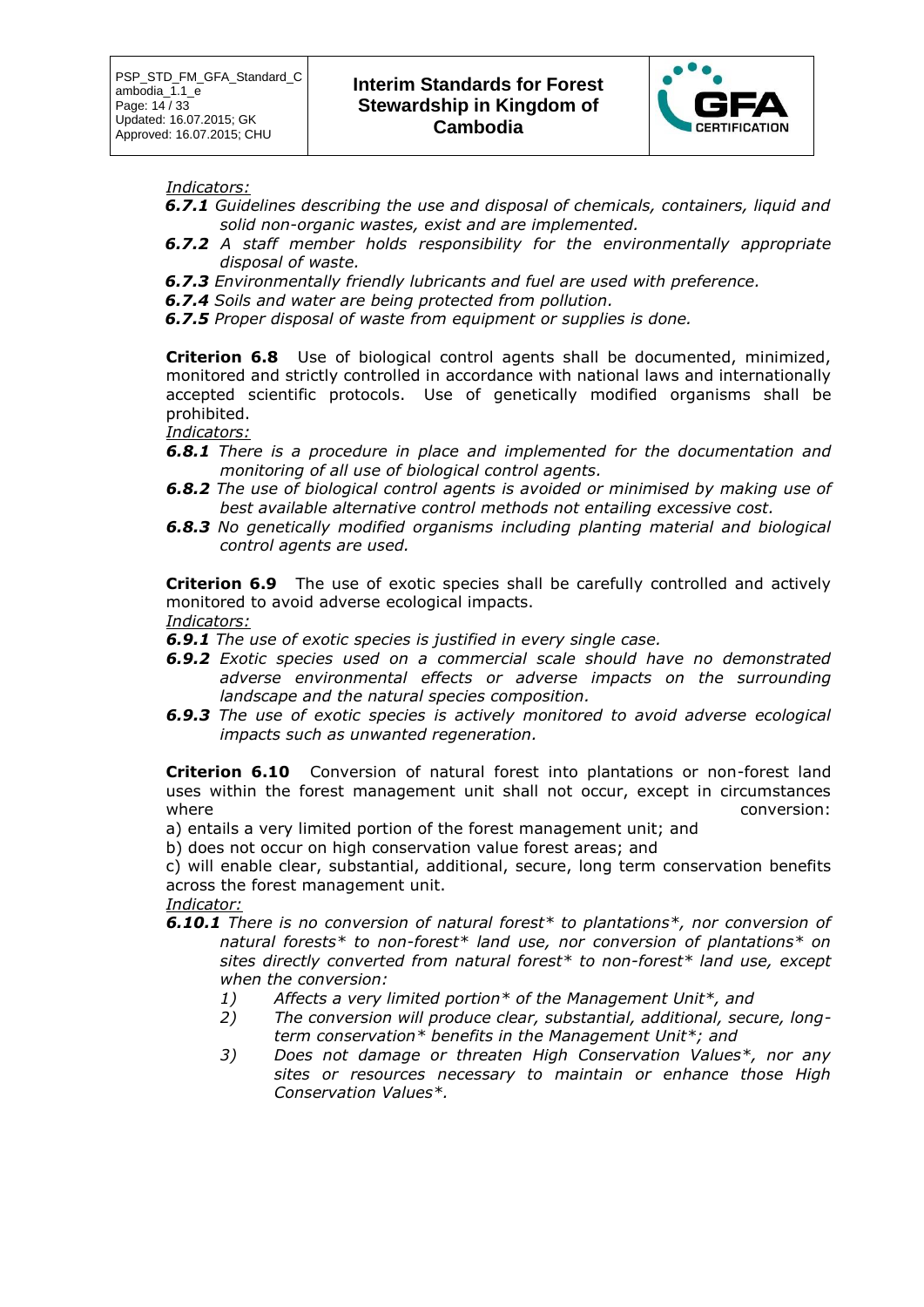

*Indicators:*

- *6.7.1 Guidelines describing the use and disposal of chemicals, containers, liquid and solid non-organic wastes, exist and are implemented.*
- *6.7.2 A staff member holds responsibility for the environmentally appropriate disposal of waste.*
- *6.7.3 Environmentally friendly lubricants and fuel are used with preference.*
- *6.7.4 Soils and water are being protected from pollution.*
- *6.7.5 Proper disposal of waste from equipment or supplies is done.*

**Criterion 6.8** Use of biological control agents shall be documented, minimized, monitored and strictly controlled in accordance with national laws and internationally accepted scientific protocols. Use of genetically modified organisms shall be prohibited.

*Indicators:*

- *6.8.1 There is a procedure in place and implemented for the documentation and monitoring of all use of biological control agents.*
- *6.8.2 The use of biological control agents is avoided or minimised by making use of best available alternative control methods not entailing excessive cost.*
- *6.8.3 No genetically modified organisms including planting material and biological control agents are used.*

**Criterion 6.9** The use of exotic species shall be carefully controlled and actively monitored to avoid adverse ecological impacts.

*Indicators:*

*6.9.1 The use of exotic species is justified in every single case.*

- *6.9.2 Exotic species used on a commercial scale should have no demonstrated adverse environmental effects or adverse impacts on the surrounding landscape and the natural species composition.*
- *6.9.3 The use of exotic species is actively monitored to avoid adverse ecological impacts such as unwanted regeneration.*

**Criterion 6.10** Conversion of natural forest into plantations or non-forest land uses within the forest management unit shall not occur, except in circumstances where **conversion:** 

a) entails a very limited portion of the forest management unit; and

b) does not occur on high conservation value forest areas; and

c) will enable clear, substantial, additional, secure, long term conservation benefits across the forest management unit.

- *6.10.1 There is no conversion of natural forest\* to plantations\*, nor conversion of natural forests\* to non-forest\* land use, nor conversion of plantations\* on sites directly converted from natural forest\* to non-forest\* land use, except when the conversion:*
	- *1) Affects a very limited portion\* of the Management Unit\*, and*
	- *2) The conversion will produce clear, substantial, additional, secure, longterm conservation\* benefits in the Management Unit\*; and*
	- *3) Does not damage or threaten High Conservation Values\*, nor any sites or resources necessary to maintain or enhance those High Conservation Values\*.*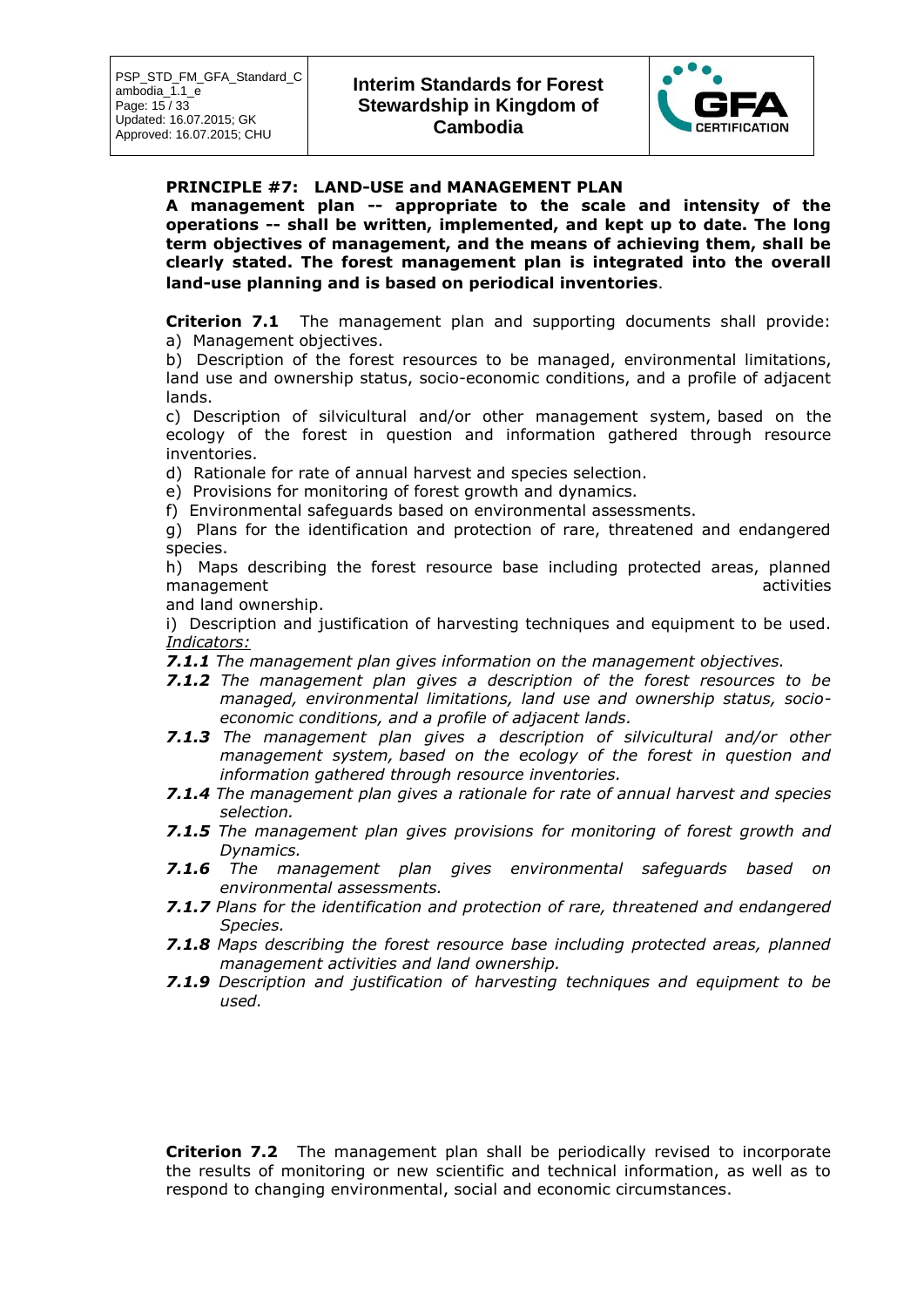

#### **PRINCIPLE #7: LAND-USE and MANAGEMENT PLAN**

**A management plan -- appropriate to the scale and intensity of the operations -- shall be written, implemented, and kept up to date. The long term objectives of management, and the means of achieving them, shall be clearly stated. The forest management plan is integrated into the overall land-use planning and is based on periodical inventories**.

**Criterion 7.1** The management plan and supporting documents shall provide: a) Management objectives.

b) Description of the forest resources to be managed, environmental limitations, land use and ownership status, socio-economic conditions, and a profile of adjacent lands.

c) Description of silvicultural and/or other management system, based on the ecology of the forest in question and information gathered through resource inventories.

d) Rationale for rate of annual harvest and species selection.

e) Provisions for monitoring of forest growth and dynamics.

f) Environmental safeguards based on environmental assessments.

g) Plans for the identification and protection of rare, threatened and endangered species.

h) Maps describing the forest resource base including protected areas, planned management activities and the contract of the contract of the contract of the contract of the contract of the contract of the contract of the contract of the contract of the contract of the contract of the contract of the

and land ownership.

i) Description and justification of harvesting techniques and equipment to be used. *Indicators:*

*7.1.1 The management plan gives information on the management objectives.*

- *7.1.2 The management plan gives a description of the forest resources to be managed, environmental limitations, land use and ownership status, socioeconomic conditions, and a profile of adjacent lands.*
- *7.1.3 The management plan gives a description of silvicultural and/or other management system, based on the ecology of the forest in question and information gathered through resource inventories.*
- *7.1.4 The management plan gives a rationale for rate of annual harvest and species selection.*
- *7.1.5 The management plan gives provisions for monitoring of forest growth and Dynamics.*
- *7.1.6 The management plan gives environmental safeguards based on environmental assessments.*
- *7.1.7 Plans for the identification and protection of rare, threatened and endangered Species.*
- *7.1.8 Maps describing the forest resource base including protected areas, planned management activities and land ownership.*
- *7.1.9 Description and justification of harvesting techniques and equipment to be used.*

**Criterion 7.2** The management plan shall be periodically revised to incorporate the results of monitoring or new scientific and technical information, as well as to respond to changing environmental, social and economic circumstances.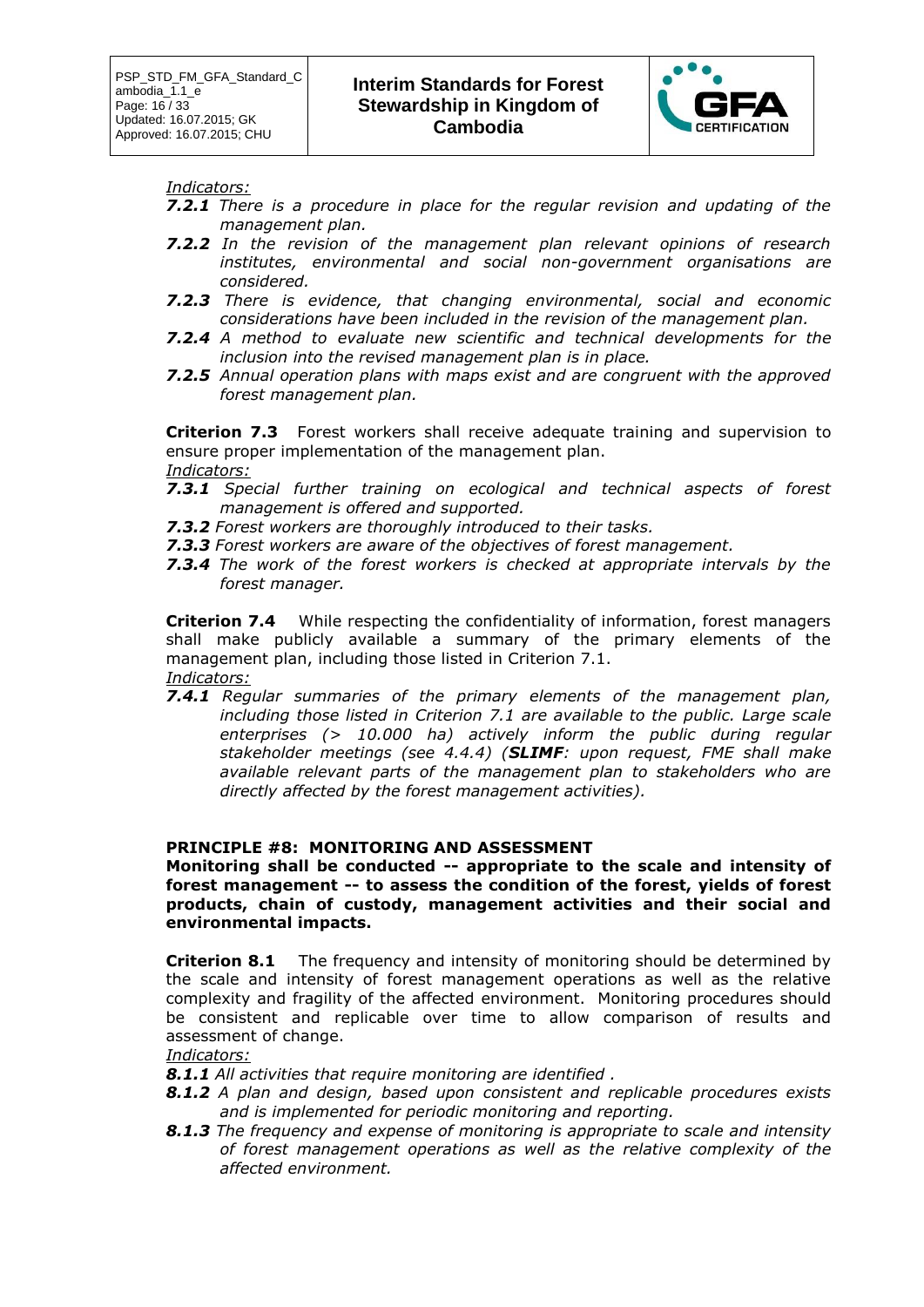

*Indicators:*

- *7.2.1 There is a procedure in place for the regular revision and updating of the management plan.*
- *7.2.2 In the revision of the management plan relevant opinions of research institutes, environmental and social non-government organisations are considered.*
- *7.2.3 There is evidence, that changing environmental, social and economic considerations have been included in the revision of the management plan.*
- *7.2.4 A method to evaluate new scientific and technical developments for the inclusion into the revised management plan is in place.*
- *7.2.5 Annual operation plans with maps exist and are congruent with the approved forest management plan.*

**Criterion 7.3** Forest workers shall receive adequate training and supervision to ensure proper implementation of the management plan. *Indicators:*

- *7.3.1 Special further training on ecological and technical aspects of forest management is offered and supported.*
- *7.3.2 Forest workers are thoroughly introduced to their tasks.*
- *7.3.3 Forest workers are aware of the objectives of forest management.*
- *7.3.4 The work of the forest workers is checked at appropriate intervals by the forest manager.*

**Criterion 7.4** While respecting the confidentiality of information, forest managers shall make publicly available a summary of the primary elements of the management plan, including those listed in Criterion 7.1. *Indicators:*

*7.4.1 Regular summaries of the primary elements of the management plan, including those listed in Criterion 7.1 are available to the public. Large scale enterprises (> 10.000 ha) actively inform the public during regular stakeholder meetings (see 4.4.4) (SLIMF: upon request, FME shall make available relevant parts of the management plan to stakeholders who are directly affected by the forest management activities).*

## **PRINCIPLE #8: MONITORING AND ASSESSMENT**

#### **Monitoring shall be conducted -- appropriate to the scale and intensity of forest management -- to assess the condition of the forest, yields of forest products, chain of custody, management activities and their social and environmental impacts.**

**Criterion 8.1** The frequency and intensity of monitoring should be determined by the scale and intensity of forest management operations as well as the relative complexity and fragility of the affected environment. Monitoring procedures should be consistent and replicable over time to allow comparison of results and assessment of change.

### *Indicators:*

*8.1.1 All activities that require monitoring are identified .*

- *8.1.2 A plan and design, based upon consistent and replicable procedures exists and is implemented for periodic monitoring and reporting.*
- *8.1.3 The frequency and expense of monitoring is appropriate to scale and intensity of forest management operations as well as the relative complexity of the affected environment.*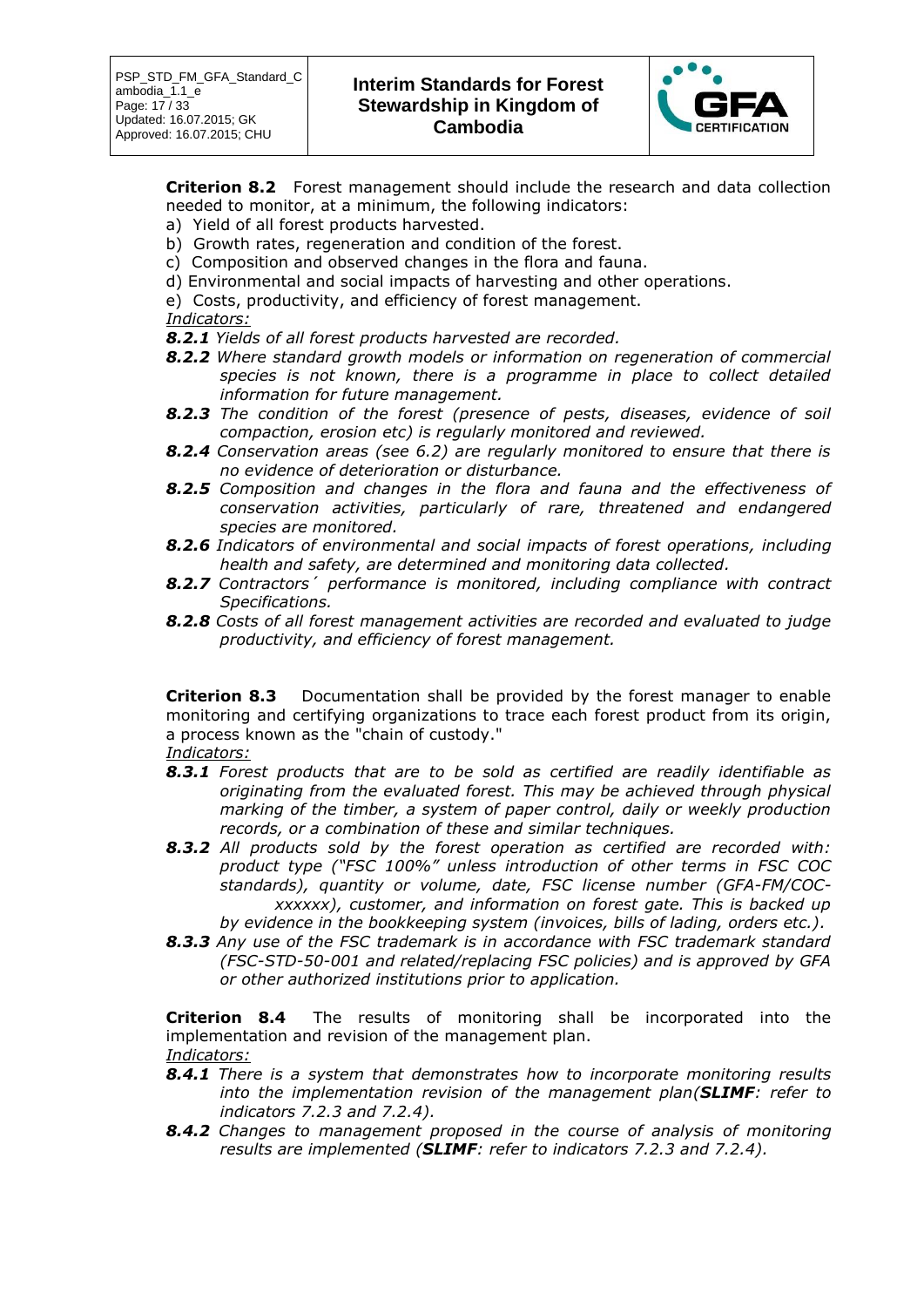

**Criterion 8.2** Forest management should include the research and data collection needed to monitor, at a minimum, the following indicators:

- a) Yield of all forest products harvested.
- b) Growth rates, regeneration and condition of the forest.
- c) Composition and observed changes in the flora and fauna.
- d) Environmental and social impacts of harvesting and other operations.
- e) Costs, productivity, and efficiency of forest management.
- *Indicators:*

*8.2.1 Yields of all forest products harvested are recorded.*

- *8.2.2 Where standard growth models or information on regeneration of commercial species is not known, there is a programme in place to collect detailed information for future management.*
- *8.2.3 The condition of the forest (presence of pests, diseases, evidence of soil compaction, erosion etc) is regularly monitored and reviewed.*
- *8.2.4 Conservation areas (see 6.2) are regularly monitored to ensure that there is no evidence of deterioration or disturbance.*
- *8.2.5 Composition and changes in the flora and fauna and the effectiveness of conservation activities, particularly of rare, threatened and endangered species are monitored.*
- *8.2.6 Indicators of environmental and social impacts of forest operations, including health and safety, are determined and monitoring data collected.*
- *8.2.7 Contractors´ performance is monitored, including compliance with contract Specifications.*
- *8.2.8 Costs of all forest management activities are recorded and evaluated to judge productivity, and efficiency of forest management.*

**Criterion 8.3** Documentation shall be provided by the forest manager to enable monitoring and certifying organizations to trace each forest product from its origin, a process known as the "chain of custody."

- *Indicators:*
- *8.3.1 Forest products that are to be sold as certified are readily identifiable as originating from the evaluated forest. This may be achieved through physical marking of the timber, a system of paper control, daily or weekly production records, or a combination of these and similar techniques.*
- *8.3.2 All products sold by the forest operation as certified are recorded with: product type ("FSC 100%" unless introduction of other terms in FSC COC standards), quantity or volume, date, FSC license number (GFA-FM/COCxxxxxx), customer, and information on forest gate. This is backed up by evidence in the bookkeeping system (invoices, bills of lading, orders etc.).*
- *8.3.3 Any use of the FSC trademark is in accordance with FSC trademark standard (FSC-STD-50-001 and related/replacing FSC policies) and is approved by GFA or other authorized institutions prior to application.*

**Criterion 8.4** The results of monitoring shall be incorporated into the implementation and revision of the management plan. *Indicators:*

- *8.4.1 There is a system that demonstrates how to incorporate monitoring results into the implementation revision of the management plan(SLIMF: refer to indicators 7.2.3 and 7.2.4).*
- *8.4.2 Changes to management proposed in the course of analysis of monitoring results are implemented (SLIMF: refer to indicators 7.2.3 and 7.2.4).*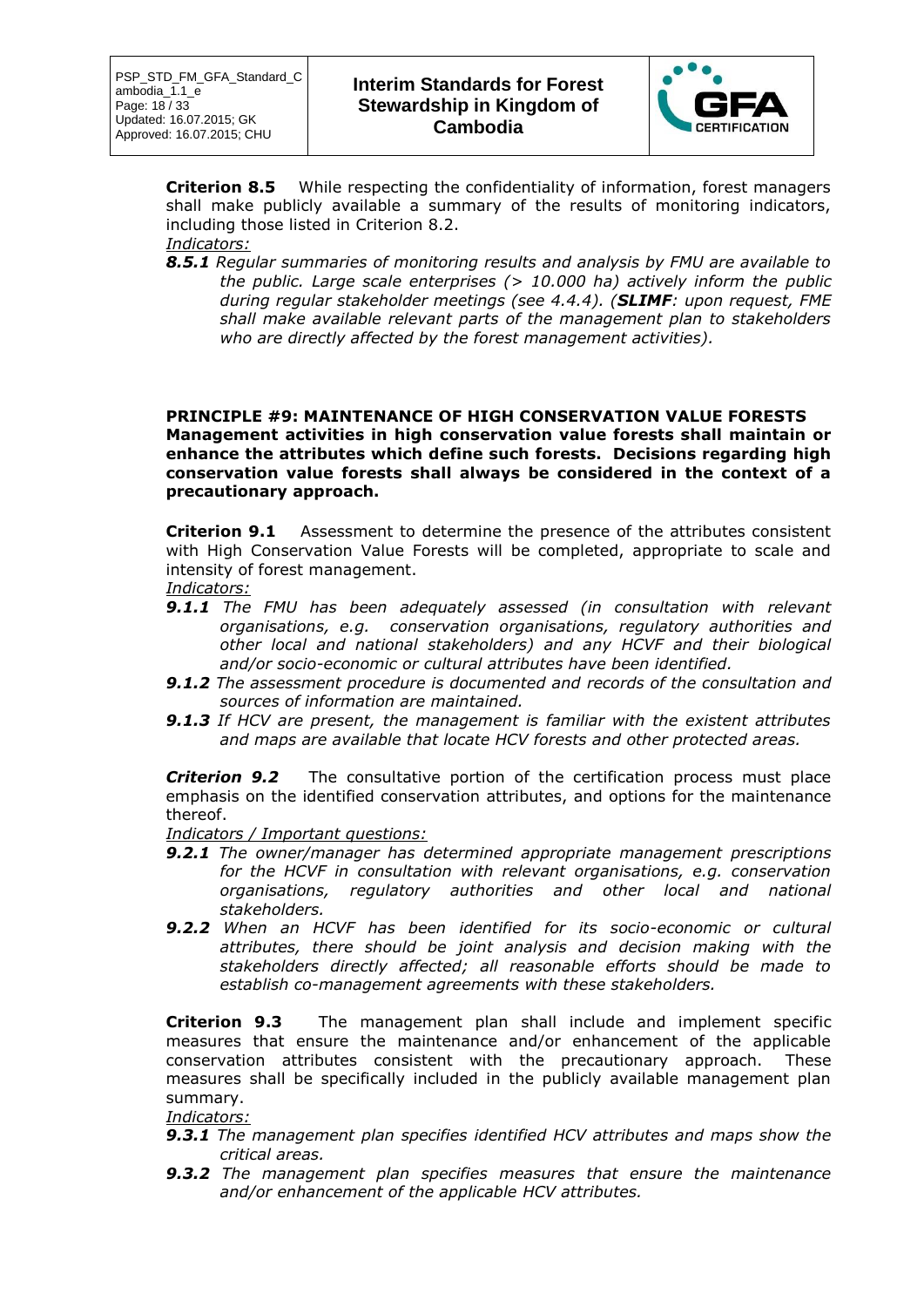

**Criterion 8.5** While respecting the confidentiality of information, forest managers shall make publicly available a summary of the results of monitoring indicators, including those listed in Criterion 8.2. *Indicators:*

*8.5.1 Regular summaries of monitoring results and analysis by FMU are available to the public. Large scale enterprises (> 10.000 ha) actively inform the public during regular stakeholder meetings (see 4.4.4). (SLIMF: upon request, FME shall make available relevant parts of the management plan to stakeholders who are directly affected by the forest management activities).*

**PRINCIPLE #9: MAINTENANCE OF HIGH CONSERVATION VALUE FORESTS Management activities in high conservation value forests shall maintain or enhance the attributes which define such forests. Decisions regarding high conservation value forests shall always be considered in the context of a precautionary approach.**

**Criterion 9.1** Assessment to determine the presence of the attributes consistent with High Conservation Value Forests will be completed, appropriate to scale and intensity of forest management.

*Indicators:*

- *9.1.1 The FMU has been adequately assessed (in consultation with relevant organisations, e.g. conservation organisations, regulatory authorities and other local and national stakeholders) and any HCVF and their biological and/or socio-economic or cultural attributes have been identified.*
- *9.1.2 The assessment procedure is documented and records of the consultation and sources of information are maintained.*
- *9.1.3 If HCV are present, the management is familiar with the existent attributes and maps are available that locate HCV forests and other protected areas.*

**Criterion 9.2** The consultative portion of the certification process must place emphasis on the identified conservation attributes, and options for the maintenance thereof.

*Indicators / Important questions:*

- *9.2.1 The owner/manager has determined appropriate management prescriptions for the HCVF in consultation with relevant organisations, e.g. conservation organisations, regulatory authorities and other local and national stakeholders.*
- *9.2.2 When an HCVF has been identified for its socio-economic or cultural attributes, there should be joint analysis and decision making with the stakeholders directly affected; all reasonable efforts should be made to establish co-management agreements with these stakeholders.*

**Criterion 9.3** The management plan shall include and implement specific measures that ensure the maintenance and/or enhancement of the applicable conservation attributes consistent with the precautionary approach. These measures shall be specifically included in the publicly available management plan summary.

- *9.3.1 The management plan specifies identified HCV attributes and maps show the critical areas.*
- *9.3.2 The management plan specifies measures that ensure the maintenance and/or enhancement of the applicable HCV attributes.*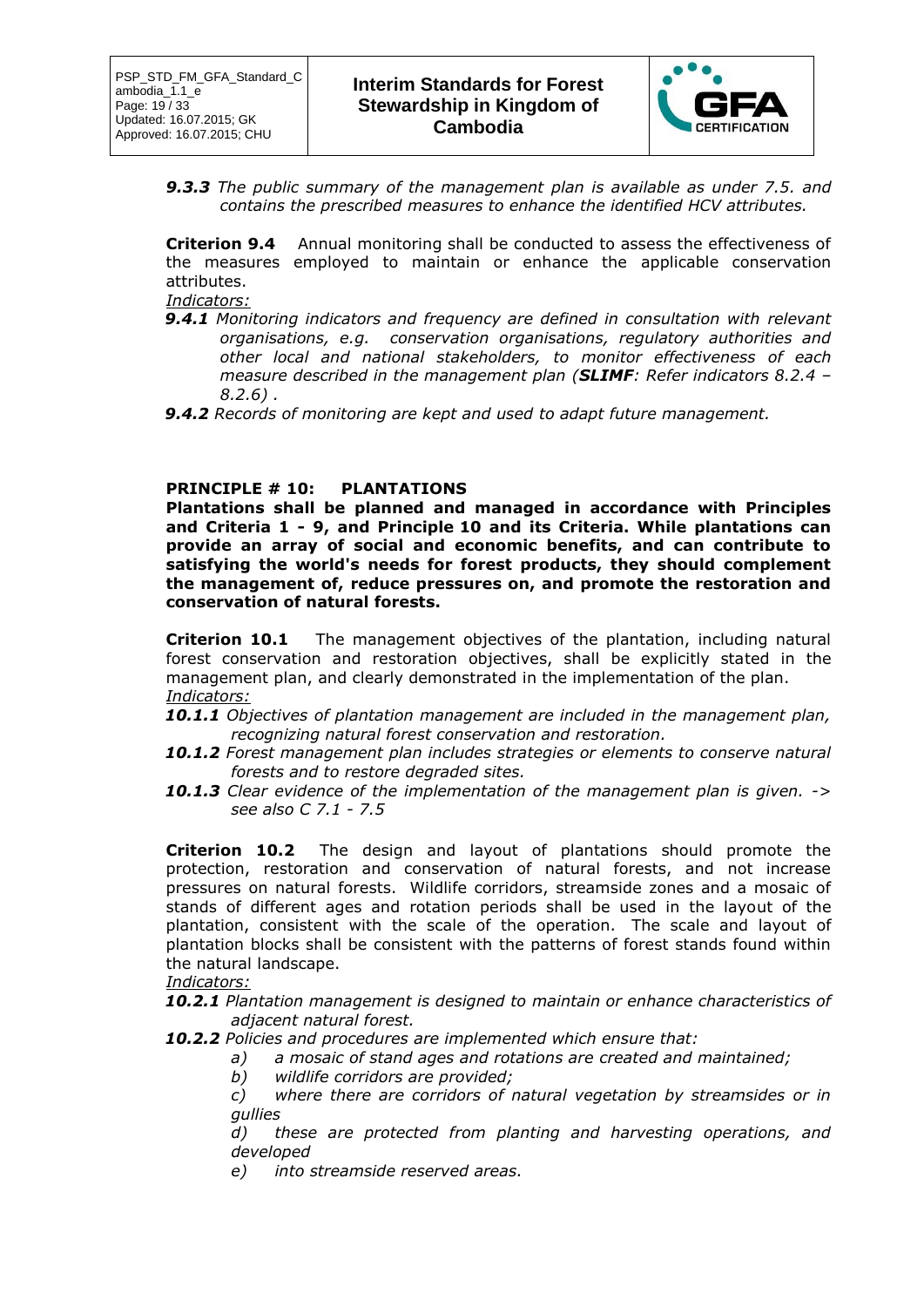

*9.3.3 The public summary of the management plan is available as under 7.5. and contains the prescribed measures to enhance the identified HCV attributes.*

**Criterion 9.4** Annual monitoring shall be conducted to assess the effectiveness of the measures employed to maintain or enhance the applicable conservation attributes.

*Indicators:*

- *9.4.1 Monitoring indicators and frequency are defined in consultation with relevant organisations, e.g. conservation organisations, regulatory authorities and other local and national stakeholders, to monitor effectiveness of each measure described in the management plan (SLIMF: Refer indicators 8.2.4 – 8.2.6) .*
- *9.4.2 Records of monitoring are kept and used to adapt future management.*

## **PRINCIPLE # 10: PLANTATIONS**

**Plantations shall be planned and managed in accordance with Principles and Criteria 1 - 9, and Principle 10 and its Criteria. While plantations can provide an array of social and economic benefits, and can contribute to satisfying the world's needs for forest products, they should complement the management of, reduce pressures on, and promote the restoration and conservation of natural forests.**

**Criterion 10.1** The management objectives of the plantation, including natural forest conservation and restoration objectives, shall be explicitly stated in the management plan, and clearly demonstrated in the implementation of the plan. *Indicators:*

- *10.1.1 Objectives of plantation management are included in the management plan, recognizing natural forest conservation and restoration.*
- *10.1.2 Forest management plan includes strategies or elements to conserve natural forests and to restore degraded sites.*
- *10.1.3 Clear evidence of the implementation of the management plan is given. -> see also C 7.1 - 7.5*

**Criterion 10.2** The design and layout of plantations should promote the protection, restoration and conservation of natural forests, and not increase pressures on natural forests. Wildlife corridors, streamside zones and a mosaic of stands of different ages and rotation periods shall be used in the layout of the plantation, consistent with the scale of the operation. The scale and layout of plantation blocks shall be consistent with the patterns of forest stands found within the natural landscape.

*Indicators:*

- *10.2.1 Plantation management is designed to maintain or enhance characteristics of adjacent natural forest.*
- *10.2.2 Policies and procedures are implemented which ensure that:*
	- *a) a mosaic of stand ages and rotations are created and maintained;*
	- *b) wildlife corridors are provided;*

*c) where there are corridors of natural vegetation by streamsides or in gullies* 

*d) these are protected from planting and harvesting operations, and developed*

*e) into streamside reserved areas.*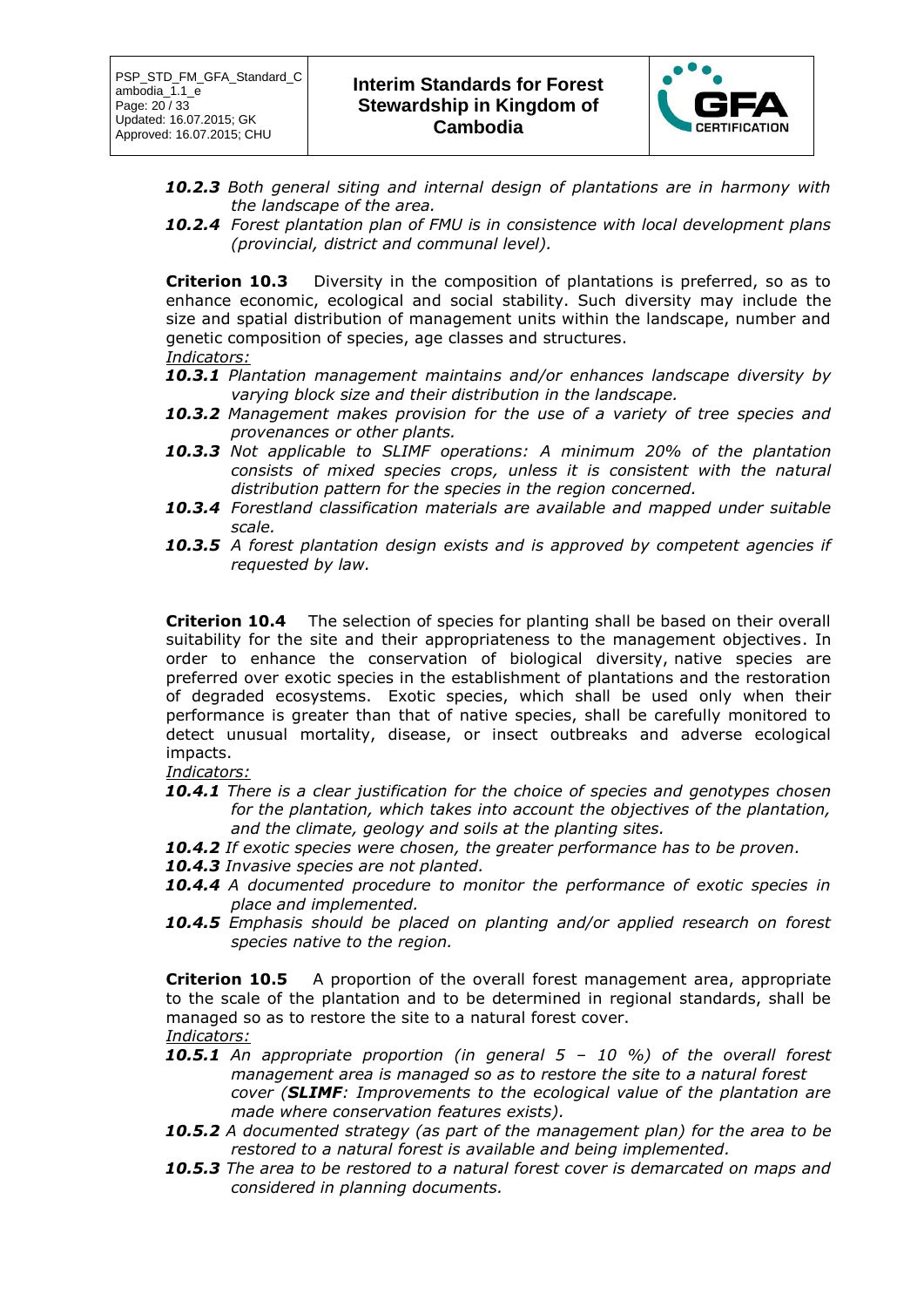

- *10.2.3 Both general siting and internal design of plantations are in harmony with the landscape of the area.*
- *10.2.4 Forest plantation plan of FMU is in consistence with local development plans (provincial, district and communal level).*

**Criterion 10.3** Diversity in the composition of plantations is preferred, so as to enhance economic, ecological and social stability. Such diversity may include the size and spatial distribution of management units within the landscape, number and genetic composition of species, age classes and structures. *Indicators:*

- *10.3.1 Plantation management maintains and/or enhances landscape diversity by varying block size and their distribution in the landscape.*
- *10.3.2 Management makes provision for the use of a variety of tree species and provenances or other plants.*
- *10.3.3 Not applicable to SLIMF operations: A minimum 20% of the plantation*  consists of mixed species crops, unless it is consistent with the natural *distribution pattern for the species in the region concerned.*
- *10.3.4 Forestland classification materials are available and mapped under suitable scale.*
- *10.3.5 A forest plantation design exists and is approved by competent agencies if requested by law.*

**Criterion 10.4** The selection of species for planting shall be based on their overall suitability for the site and their appropriateness to the management objectives. In order to enhance the conservation of biological diversity, native species are preferred over exotic species in the establishment of plantations and the restoration of degraded ecosystems. Exotic species, which shall be used only when their performance is greater than that of native species, shall be carefully monitored to detect unusual mortality, disease, or insect outbreaks and adverse ecological impacts.

## *Indicators:*

- *10.4.1 There is a clear justification for the choice of species and genotypes chosen for the plantation, which takes into account the objectives of the plantation, and the climate, geology and soils at the planting sites.*
- *10.4.2 If exotic species were chosen, the greater performance has to be proven.*
- *10.4.3 Invasive species are not planted.*
- *10.4.4 A documented procedure to monitor the performance of exotic species in place and implemented.*
- *10.4.5 Emphasis should be placed on planting and/or applied research on forest species native to the region.*

**Criterion 10.5** A proportion of the overall forest management area, appropriate to the scale of the plantation and to be determined in regional standards, shall be managed so as to restore the site to a natural forest cover. *Indicators:*

- *10.5.1 An appropriate proportion (in general 5 – 10 %) of the overall forest management area is managed so as to restore the site to a natural forest cover (SLIMF: Improvements to the ecological value of the plantation are made where conservation features exists).*
- **10.5.2** A documented strategy (as part of the management plan) for the area to be *restored to a natural forest is available and being implemented.*
- *10.5.3 The area to be restored to a natural forest cover is demarcated on maps and considered in planning documents.*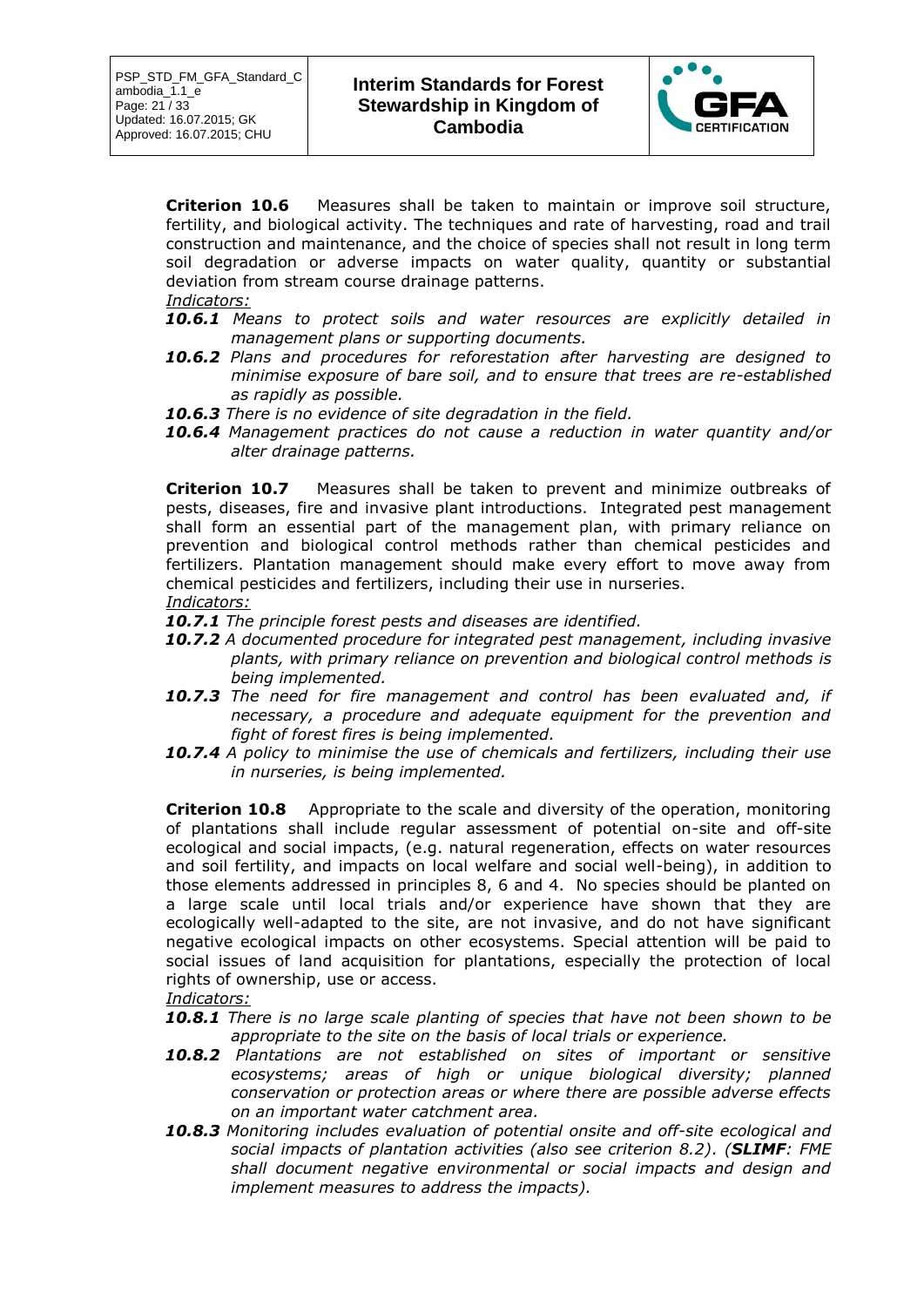

**Criterion 10.6** Measures shall be taken to maintain or improve soil structure, fertility, and biological activity. The techniques and rate of harvesting, road and trail construction and maintenance, and the choice of species shall not result in long term soil degradation or adverse impacts on water quality, quantity or substantial deviation from stream course drainage patterns. *Indicators:*

- *10.6.1 Means to protect soils and water resources are explicitly detailed in management plans or supporting documents.*
- *10.6.2 Plans and procedures for reforestation after harvesting are designed to minimise exposure of bare soil, and to ensure that trees are re-established as rapidly as possible.*
- *10.6.3 There is no evidence of site degradation in the field.*
- *10.6.4 Management practices do not cause a reduction in water quantity and/or alter drainage patterns.*

**Criterion 10.7** Measures shall be taken to prevent and minimize outbreaks of pests, diseases, fire and invasive plant introductions. Integrated pest management shall form an essential part of the management plan, with primary reliance on prevention and biological control methods rather than chemical pesticides and fertilizers. Plantation management should make every effort to move away from chemical pesticides and fertilizers, including their use in nurseries. *Indicators:*

- *10.7.1 The principle forest pests and diseases are identified.*
- *10.7.2 A documented procedure for integrated pest management, including invasive plants, with primary reliance on prevention and biological control methods is being implemented.*
- *10.7.3 The need for fire management and control has been evaluated and, if necessary, a procedure and adequate equipment for the prevention and fight of forest fires is being implemented.*
- *10.7.4 A policy to minimise the use of chemicals and fertilizers, including their use in nurseries, is being implemented.*

**Criterion 10.8** Appropriate to the scale and diversity of the operation, monitoring of plantations shall include regular assessment of potential on-site and off-site ecological and social impacts, (e.g. natural regeneration, effects on water resources and soil fertility, and impacts on local welfare and social well-being), in addition to those elements addressed in principles 8, 6 and 4. No species should be planted on a large scale until local trials and/or experience have shown that they are ecologically well-adapted to the site, are not invasive, and do not have significant negative ecological impacts on other ecosystems. Special attention will be paid to social issues of land acquisition for plantations, especially the protection of local rights of ownership, use or access.

- *10.8.1 There is no large scale planting of species that have not been shown to be appropriate to the site on the basis of local trials or experience.*
- *10.8.2 Plantations are not established on sites of important or sensitive ecosystems; areas of high or unique biological diversity; planned conservation or protection areas or where there are possible adverse effects on an important water catchment area.*
- *10.8.3 Monitoring includes evaluation of potential onsite and off-site ecological and social impacts of plantation activities (also see criterion 8.2). (SLIMF: FME shall document negative environmental or social impacts and design and implement measures to address the impacts).*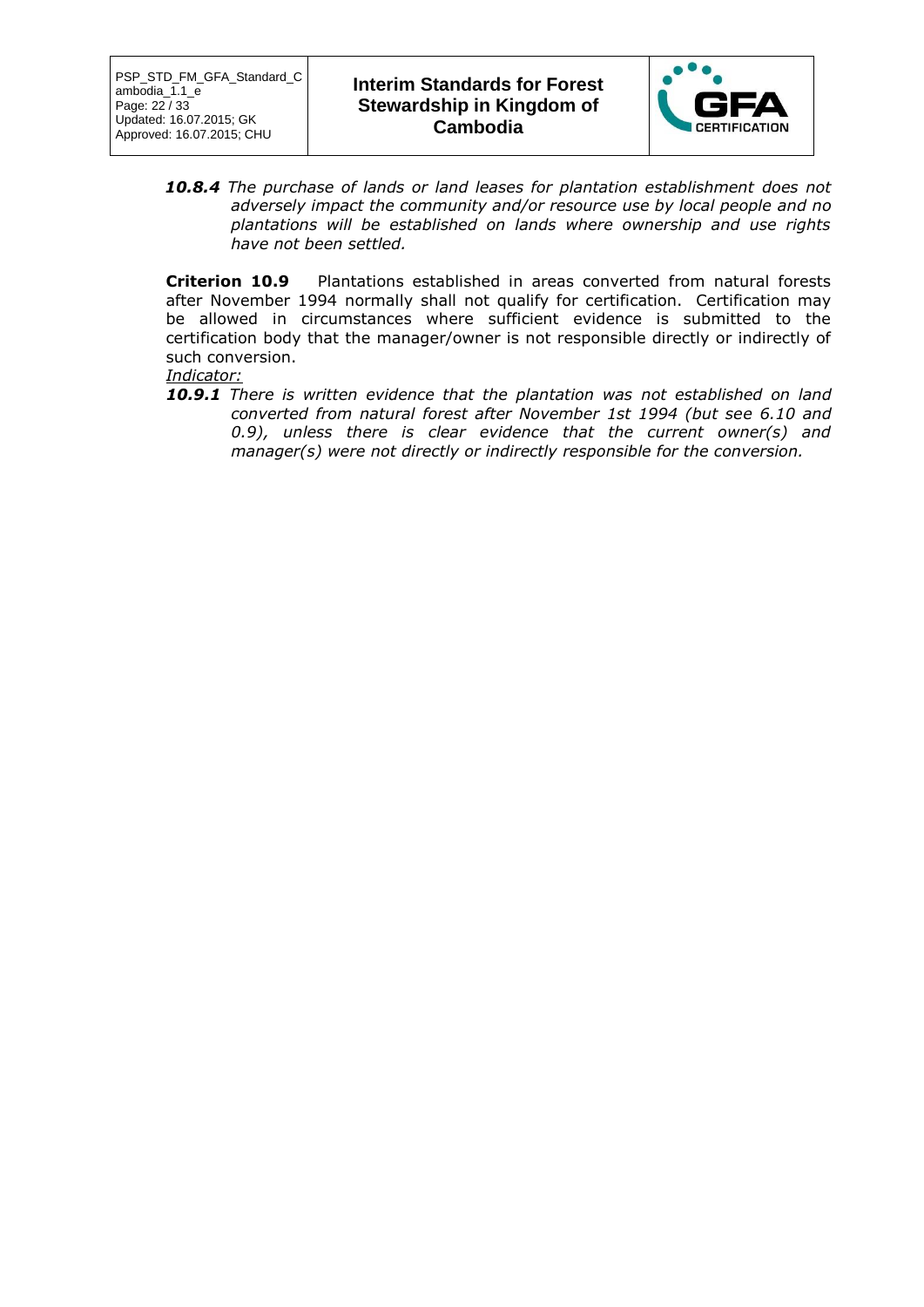

*10.8.4 The purchase of lands or land leases for plantation establishment does not adversely impact the community and/or resource use by local people and no plantations will be established on lands where ownership and use rights have not been settled.*

**Criterion 10.9** Plantations established in areas converted from natural forests after November 1994 normally shall not qualify for certification. Certification may be allowed in circumstances where sufficient evidence is submitted to the certification body that the manager/owner is not responsible directly or indirectly of such conversion.

*Indicator:*

*10.9.1 There is written evidence that the plantation was not established on land converted from natural forest after November 1st 1994 (but see 6.10 and 0.9), unless there is clear evidence that the current owner(s) and manager(s) were not directly or indirectly responsible for the conversion.*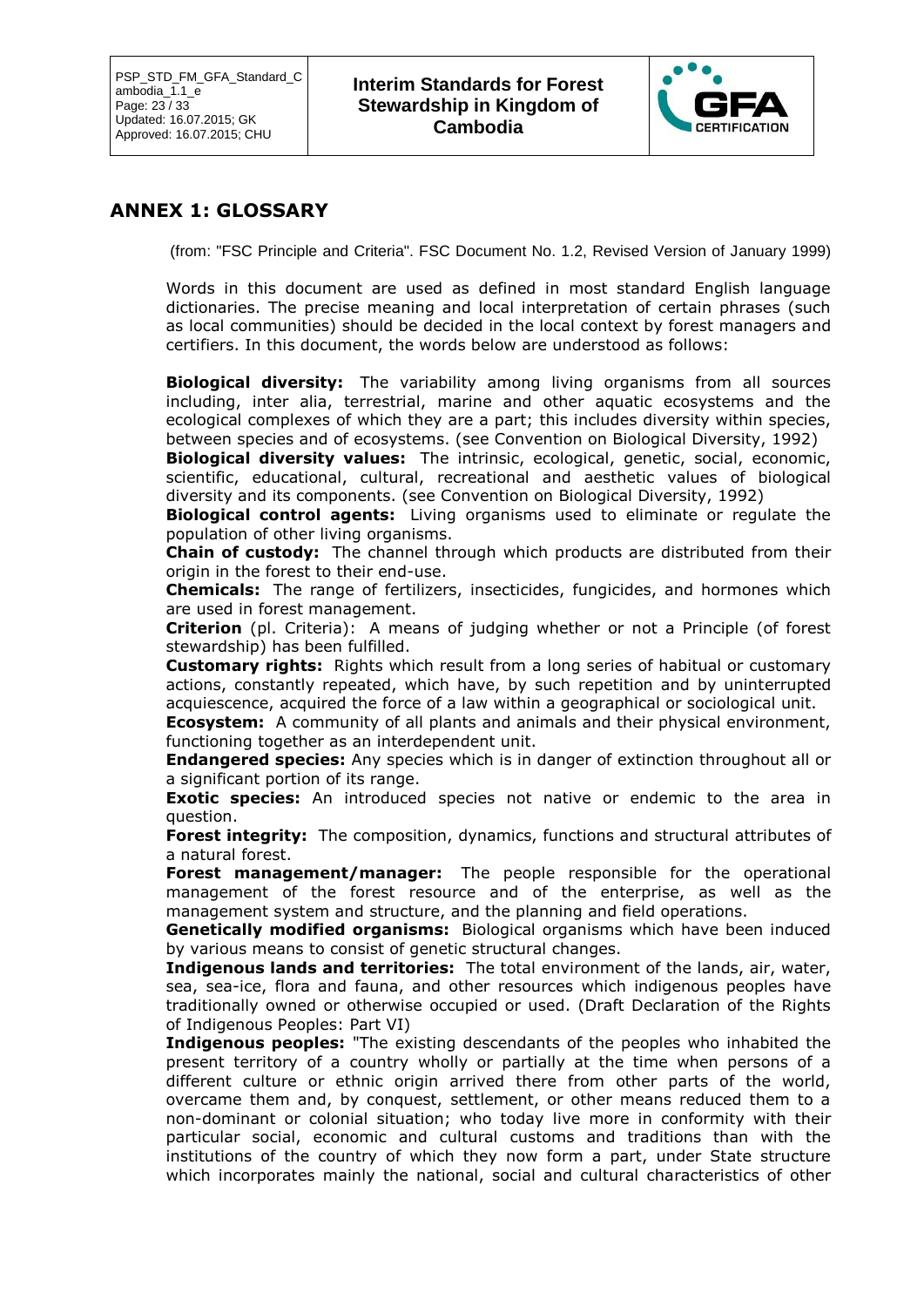

## **ANNEX 1: GLOSSARY**

(from: "FSC Principle and Criteria". FSC Document No. 1.2, Revised Version of January 1999)

Words in this document are used as defined in most standard English language dictionaries. The precise meaning and local interpretation of certain phrases (such as local communities) should be decided in the local context by forest managers and certifiers. In this document, the words below are understood as follows:

**Biological diversity:** The variability among living organisms from all sources including, inter alia, terrestrial, marine and other aquatic ecosystems and the ecological complexes of which they are a part; this includes diversity within species, between species and of ecosystems. (see Convention on Biological Diversity, 1992)

**Biological diversity values:** The intrinsic, ecological, genetic, social, economic, scientific, educational, cultural, recreational and aesthetic values of biological diversity and its components. (see Convention on Biological Diversity, 1992)

**Biological control agents:** Living organisms used to eliminate or regulate the population of other living organisms.

**Chain of custody:** The channel through which products are distributed from their origin in the forest to their end-use.

**Chemicals:** The range of fertilizers, insecticides, fungicides, and hormones which are used in forest management.

**Criterion** (pl. Criteria): A means of judging whether or not a Principle (of forest stewardship) has been fulfilled.

**Customary rights:** Rights which result from a long series of habitual or customary actions, constantly repeated, which have, by such repetition and by uninterrupted acquiescence, acquired the force of a law within a geographical or sociological unit.

**Ecosystem:** A community of all plants and animals and their physical environment, functioning together as an interdependent unit.

**Endangered species:** Any species which is in danger of extinction throughout all or a significant portion of its range.

**Exotic species:** An introduced species not native or endemic to the area in question.

**Forest integrity:** The composition, dynamics, functions and structural attributes of a natural forest.

**Forest management/manager:** The people responsible for the operational management of the forest resource and of the enterprise, as well as the management system and structure, and the planning and field operations.

**Genetically modified organisms:** Biological organisms which have been induced by various means to consist of genetic structural changes.

**Indigenous lands and territories:** The total environment of the lands, air, water, sea, sea-ice, flora and fauna, and other resources which indigenous peoples have traditionally owned or otherwise occupied or used. (Draft Declaration of the Rights of Indigenous Peoples: Part VI)

**Indigenous peoples:** "The existing descendants of the peoples who inhabited the present territory of a country wholly or partially at the time when persons of a different culture or ethnic origin arrived there from other parts of the world, overcame them and, by conquest, settlement, or other means reduced them to a non-dominant or colonial situation; who today live more in conformity with their particular social, economic and cultural customs and traditions than with the institutions of the country of which they now form a part, under State structure which incorporates mainly the national, social and cultural characteristics of other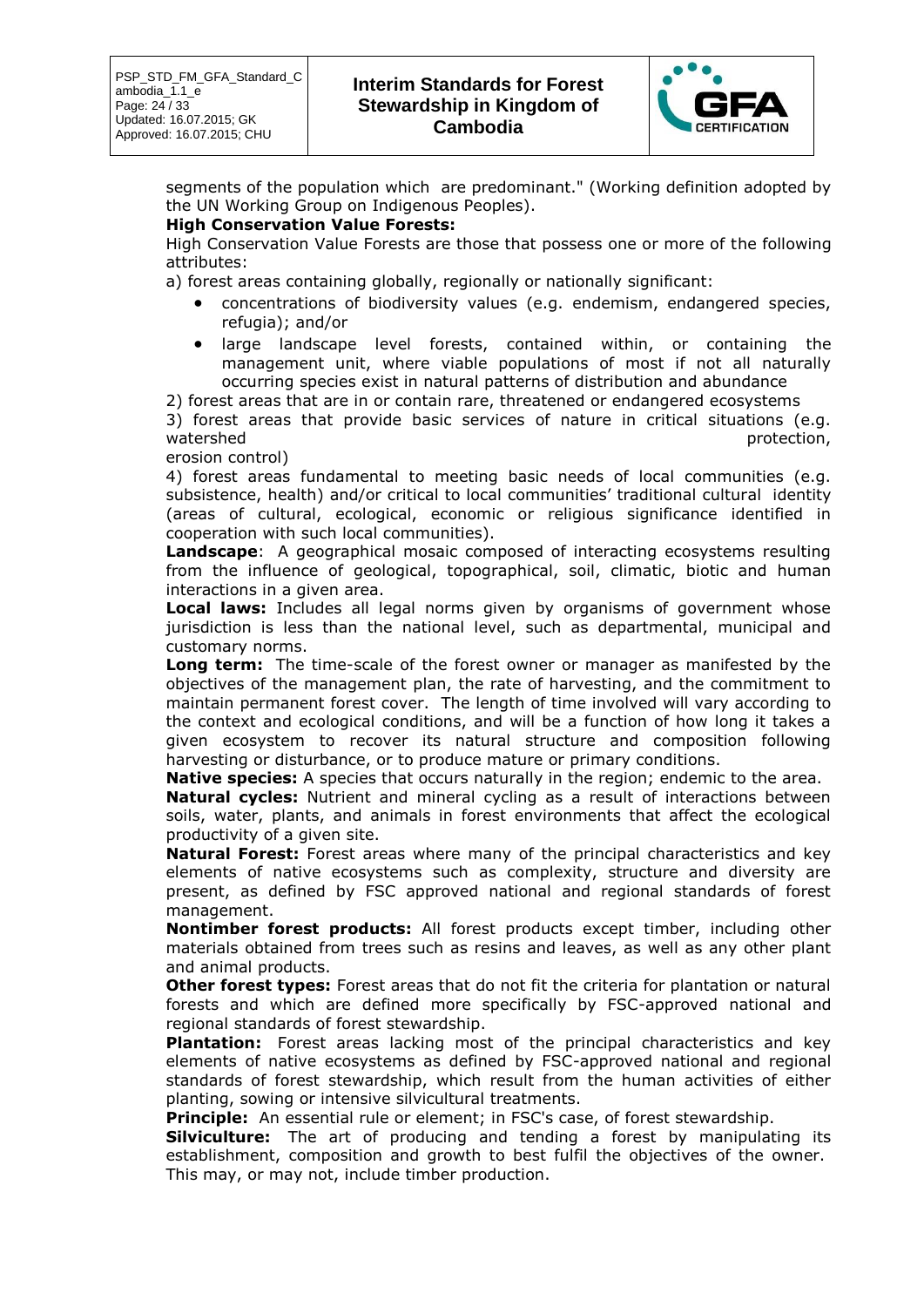

segments of the population which are predominant." (Working definition adopted by the UN Working Group on Indigenous Peoples).

#### **High Conservation Value Forests:**

High Conservation Value Forests are those that possess one or more of the following attributes:

a) forest areas containing globally, regionally or nationally significant:

- concentrations of biodiversity values (e.g. endemism, endangered species, refugia); and/or
- large landscape level forests, contained within, or containing the management unit, where viable populations of most if not all naturally occurring species exist in natural patterns of distribution and abundance

2) forest areas that are in or contain rare, threatened or endangered ecosystems 3) forest areas that provide basic services of nature in critical situations (e.g. watershed protection, and the protection of the protection, and the protection, and the protection,  $\mathbf{p}$ 

erosion control)

4) forest areas fundamental to meeting basic needs of local communities (e.g. subsistence, health) and/or critical to local communities' traditional cultural identity (areas of cultural, ecological, economic or religious significance identified in cooperation with such local communities).

**Landscape**: A geographical mosaic composed of interacting ecosystems resulting from the influence of geological, topographical, soil, climatic, biotic and human interactions in a given area.

**Local laws:** Includes all legal norms given by organisms of government whose jurisdiction is less than the national level, such as departmental, municipal and customary norms.

**Long term:** The time-scale of the forest owner or manager as manifested by the objectives of the management plan, the rate of harvesting, and the commitment to maintain permanent forest cover. The length of time involved will vary according to the context and ecological conditions, and will be a function of how long it takes a given ecosystem to recover its natural structure and composition following harvesting or disturbance, or to produce mature or primary conditions.

**Native species:** A species that occurs naturally in the region; endemic to the area.

**Natural cycles:** Nutrient and mineral cycling as a result of interactions between soils, water, plants, and animals in forest environments that affect the ecological productivity of a given site.

**Natural Forest:** Forest areas where many of the principal characteristics and key elements of native ecosystems such as complexity, structure and diversity are present, as defined by FSC approved national and regional standards of forest management.

**Nontimber forest products:** All forest products except timber, including other materials obtained from trees such as resins and leaves, as well as any other plant and animal products.

**Other forest types:** Forest areas that do not fit the criteria for plantation or natural forests and which are defined more specifically by FSC-approved national and regional standards of forest stewardship.

**Plantation:** Forest areas lacking most of the principal characteristics and key elements of native ecosystems as defined by FSC-approved national and regional standards of forest stewardship, which result from the human activities of either planting, sowing or intensive silvicultural treatments.

**Principle:** An essential rule or element; in FSC's case, of forest stewardship.

**Silviculture:** The art of producing and tending a forest by manipulating its establishment, composition and growth to best fulfil the objectives of the owner. This may, or may not, include timber production.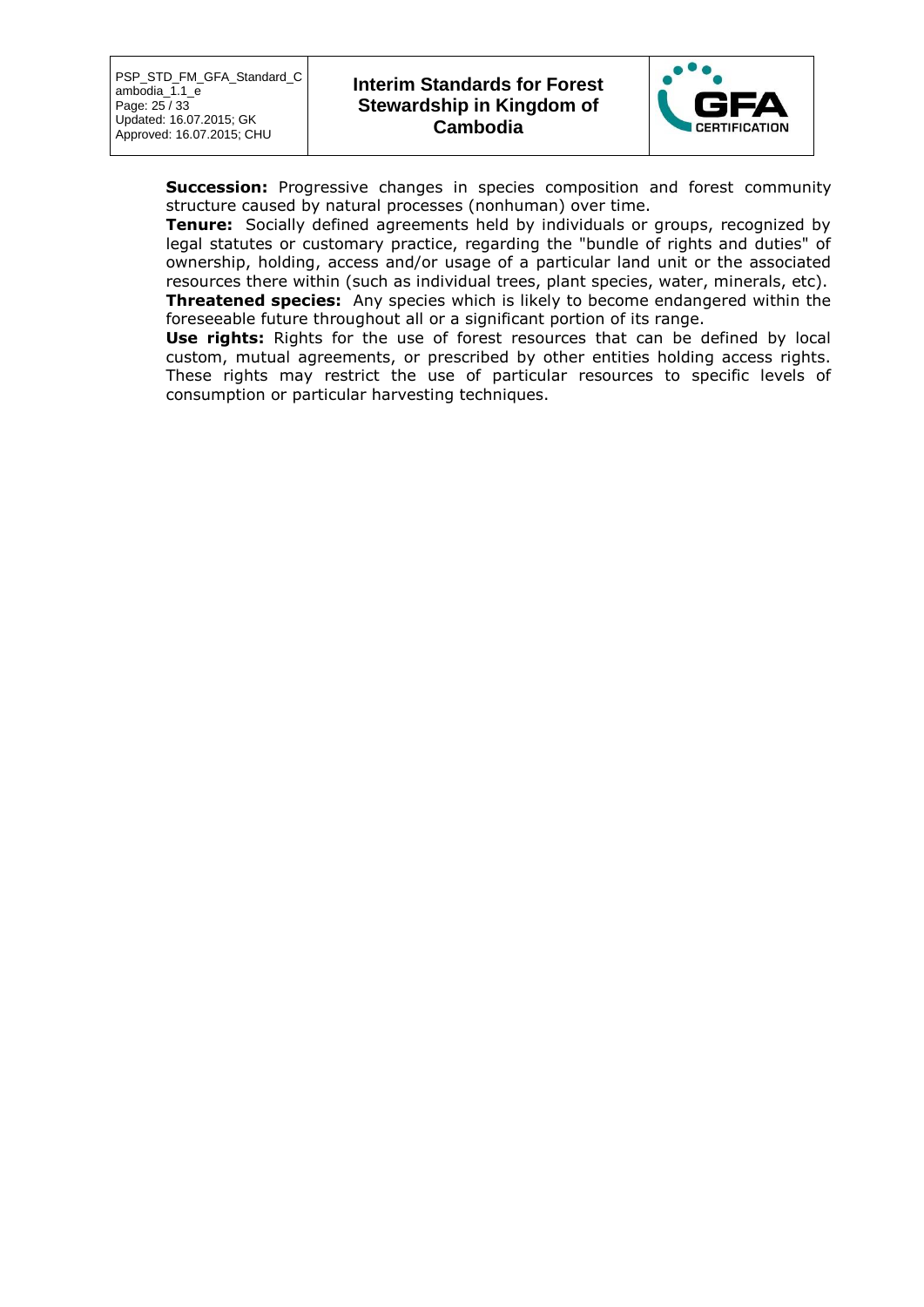

**Succession:** Progressive changes in species composition and forest community structure caused by natural processes (nonhuman) over time.

**Tenure:** Socially defined agreements held by individuals or groups, recognized by legal statutes or customary practice, regarding the "bundle of rights and duties" of ownership, holding, access and/or usage of a particular land unit or the associated resources there within (such as individual trees, plant species, water, minerals, etc). **Threatened species:** Any species which is likely to become endangered within the foreseeable future throughout all or a significant portion of its range.

**Use rights:** Rights for the use of forest resources that can be defined by local custom, mutual agreements, or prescribed by other entities holding access rights. These rights may restrict the use of particular resources to specific levels of consumption or particular harvesting techniques.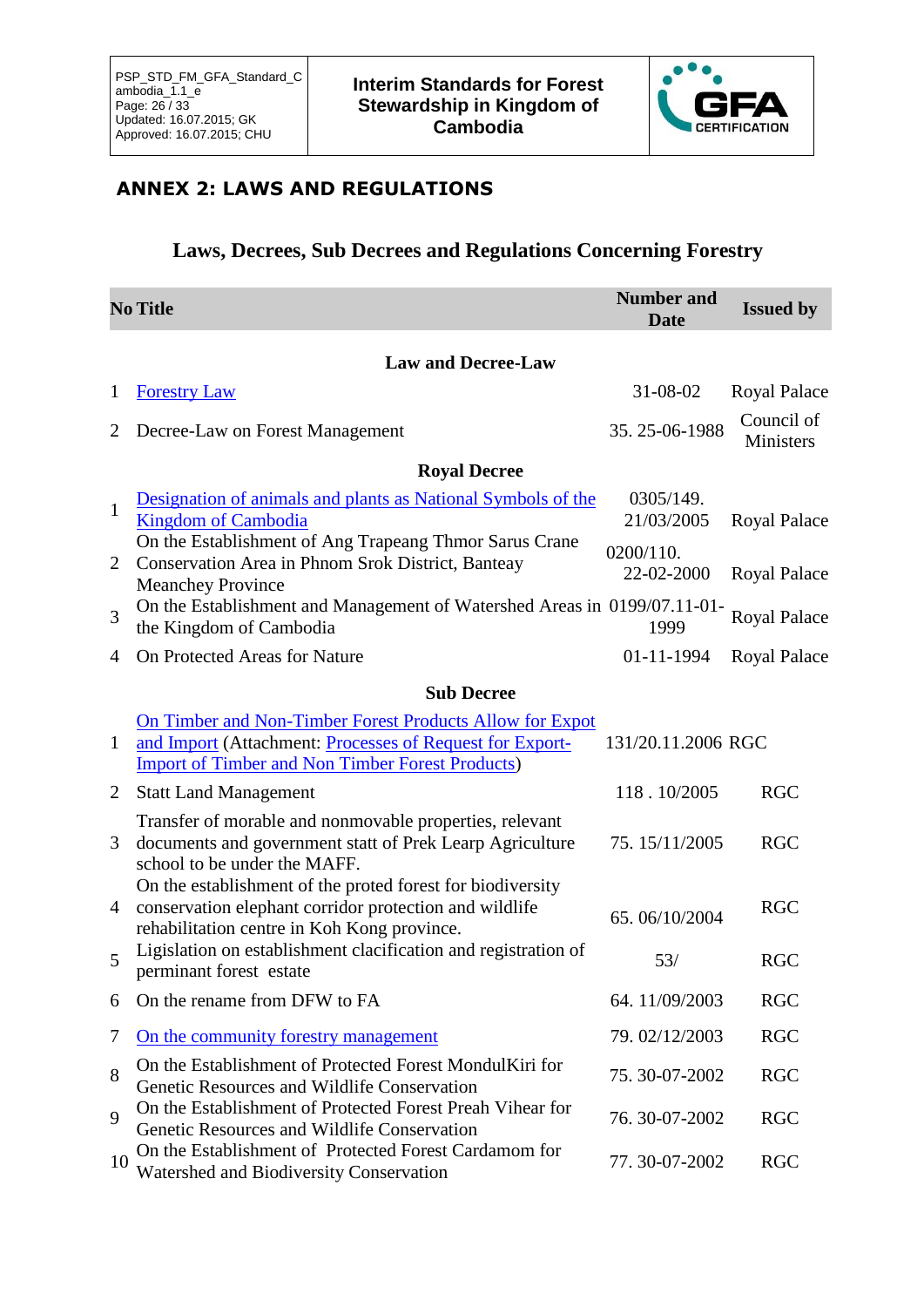

# **ANNEX 2: LAWS AND REGULATIONS**

# **Laws, Decrees, Sub Decrees and Regulations Concerning Forestry**

| <b>No Title</b>           |                                                                                                                                                                                  | <b>Number and</b><br><b>Date</b> | <b>Issued by</b>        |
|---------------------------|----------------------------------------------------------------------------------------------------------------------------------------------------------------------------------|----------------------------------|-------------------------|
| <b>Law and Decree-Law</b> |                                                                                                                                                                                  |                                  |                         |
| 1                         | <b>Forestry Law</b>                                                                                                                                                              | 31-08-02                         | Royal Palace            |
| $\overline{2}$            | Decree-Law on Forest Management                                                                                                                                                  | 35.25-06-1988                    | Council of<br>Ministers |
|                           | <b>Royal Decree</b>                                                                                                                                                              |                                  |                         |
| $\mathbf{1}$              | Designation of animals and plants as National Symbols of the<br><b>Kingdom of Cambodia</b>                                                                                       | 0305/149.<br>21/03/2005          | <b>Royal Palace</b>     |
| $\overline{2}$            | On the Establishment of Ang Trapeang Thmor Sarus Crane<br>Conservation Area in Phnom Srok District, Banteay<br><b>Meanchey Province</b>                                          | 0200/110.<br>22-02-2000          | <b>Royal Palace</b>     |
| 3                         | On the Establishment and Management of Watershed Areas in 0199/07.11-01-<br>the Kingdom of Cambodia                                                                              | 1999                             | <b>Royal Palace</b>     |
| 4                         | On Protected Areas for Nature                                                                                                                                                    | 01-11-1994                       | <b>Royal Palace</b>     |
|                           | <b>Sub Decree</b>                                                                                                                                                                |                                  |                         |
| $\mathbf{1}$              | On Timber and Non-Timber Forest Products Allow for Expot<br>and Import (Attachment: Processes of Request for Export-<br><b>Import of Timber and Non Timber Forest Products</b> ) | 131/20.11.2006 RGC               |                         |
| $\overline{2}$            | <b>Statt Land Management</b>                                                                                                                                                     | 118.10/2005                      | <b>RGC</b>              |
| 3                         | Transfer of morable and nonmovable properties, relevant<br>documents and government statt of Prek Learp Agriculture<br>school to be under the MAFF.                              | 75.15/11/2005                    | <b>RGC</b>              |
| 4                         | On the establishment of the proted forest for biodiversity<br>conservation elephant corridor protection and wildlife<br>rehabilitation centre in Koh Kong province.              | 65.06/10/2004                    | <b>RGC</b>              |
| 5                         | Ligislation on establishment clacification and registration of<br>perminant forest estate                                                                                        | 53/                              | <b>RGC</b>              |
| 6                         | On the rename from DFW to FA                                                                                                                                                     | 64.11/09/2003                    | <b>RGC</b>              |
| 7                         | On the community forestry management                                                                                                                                             | 79.02/12/2003                    | <b>RGC</b>              |
| 8                         | On the Establishment of Protected Forest Mondul Kiri for<br>Genetic Resources and Wildlife Conservation                                                                          | 75.30-07-2002                    | <b>RGC</b>              |
| 9                         | On the Establishment of Protected Forest Preah Vihear for<br>Genetic Resources and Wildlife Conservation                                                                         | 76.30-07-2002                    | <b>RGC</b>              |
| 10                        | On the Establishment of Protected Forest Cardamom for<br>Watershed and Biodiversity Conservation                                                                                 | 77.30-07-2002                    | <b>RGC</b>              |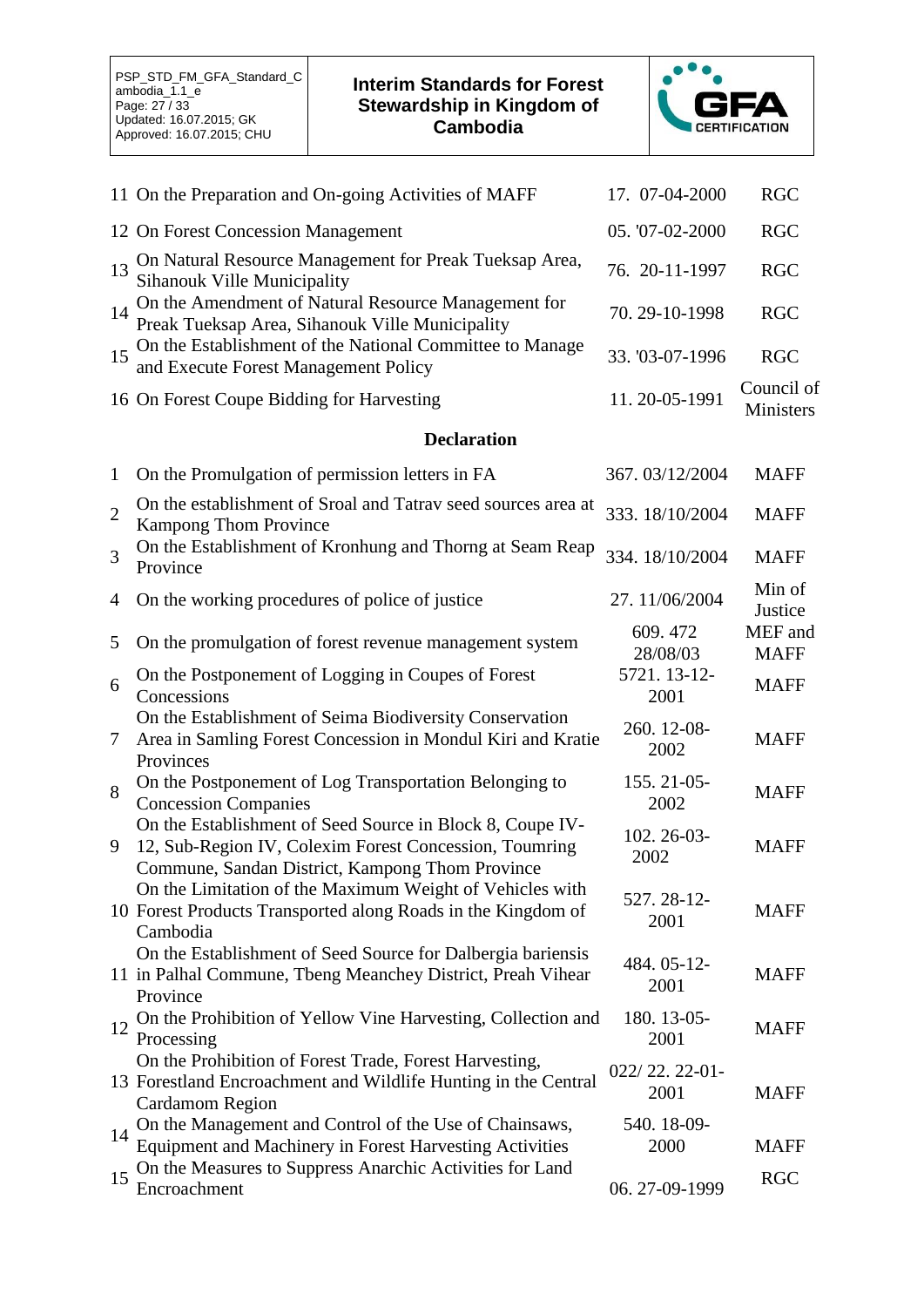

|                | 11 On the Preparation and On-going Activities of MAFF                                                                                                                  | 17. 07-04-2000           | <b>RGC</b>              |
|----------------|------------------------------------------------------------------------------------------------------------------------------------------------------------------------|--------------------------|-------------------------|
|                | 12 On Forest Concession Management                                                                                                                                     | 05. '07-02-2000          | <b>RGC</b>              |
| 13             | On Natural Resource Management for Preak Tueksap Area,<br>Sihanouk Ville Municipality                                                                                  | 76. 20-11-1997           | <b>RGC</b>              |
| 14             | On the Amendment of Natural Resource Management for<br>Preak Tueksap Area, Sihanouk Ville Municipality                                                                 | 70.29-10-1998            | <b>RGC</b>              |
| 15             | On the Establishment of the National Committee to Manage<br>and Execute Forest Management Policy                                                                       | 33. '03-07-1996          | <b>RGC</b>              |
|                | 16 On Forest Coupe Bidding for Harvesting                                                                                                                              | 11.20-05-1991            | Council of<br>Ministers |
|                | <b>Declaration</b>                                                                                                                                                     |                          |                         |
| $\mathbf{1}$   | On the Promulgation of permission letters in FA                                                                                                                        | 367.03/12/2004           | <b>MAFF</b>             |
| $\overline{2}$ | On the establishment of Sroal and Tatrav seed sources area at<br><b>Kampong Thom Province</b>                                                                          | 333.18/10/2004           | <b>MAFF</b>             |
| 3              | On the Establishment of Kronhung and Thorng at Seam Reap<br>Province                                                                                                   | 334.18/10/2004           | <b>MAFF</b>             |
| 4              | On the working procedures of police of justice                                                                                                                         | 27.11/06/2004            | Min of<br>Justice       |
| 5              | On the promulgation of forest revenue management system                                                                                                                | 609.472<br>28/08/03      | MEF and<br><b>MAFF</b>  |
| 6              | On the Postponement of Logging in Coupes of Forest<br>Concessions                                                                                                      | 5721.13-12-<br>2001      | <b>MAFF</b>             |
| 7              | On the Establishment of Seima Biodiversity Conservation<br>Area in Samling Forest Concession in Mondul Kiri and Kratie<br>Provinces                                    | 260. 12-08-<br>2002      | <b>MAFF</b>             |
| 8              | On the Postponement of Log Transportation Belonging to<br><b>Concession Companies</b>                                                                                  | 155.21-05-<br>2002       | <b>MAFF</b>             |
| 9              | On the Establishment of Seed Source in Block 8, Coupe IV-<br>12, Sub-Region IV, Colexim Forest Concession, Toumring<br>Commune, Sandan District, Kampong Thom Province | 102.26-03-<br>2002       | <b>MAFF</b>             |
|                | On the Limitation of the Maximum Weight of Vehicles with<br>10 Forest Products Transported along Roads in the Kingdom of<br>Cambodia                                   | 527.28-12-<br>2001       | <b>MAFF</b>             |
|                | On the Establishment of Seed Source for Dalbergia bariensis<br>11 in Palhal Commune, Tbeng Meanchey District, Preah Vihear<br>Province                                 | 484.05-12-<br>2001       | <b>MAFF</b>             |
| 12             | On the Prohibition of Yellow Vine Harvesting, Collection and<br>Processing                                                                                             | 180. 13-05-<br>2001      | <b>MAFF</b>             |
|                | On the Prohibition of Forest Trade, Forest Harvesting,<br>13 Forestland Encroachment and Wildlife Hunting in the Central<br><b>Cardamom Region</b>                     | $022/22.22 - 01$<br>2001 | <b>MAFF</b>             |
| 14             | On the Management and Control of the Use of Chainsaws,<br>Equipment and Machinery in Forest Harvesting Activities                                                      | 540. 18-09-<br>2000      | <b>MAFF</b>             |
| 15             | On the Measures to Suppress Anarchic Activities for Land<br>Encroachment                                                                                               | 06.27-09-1999            | <b>RGC</b>              |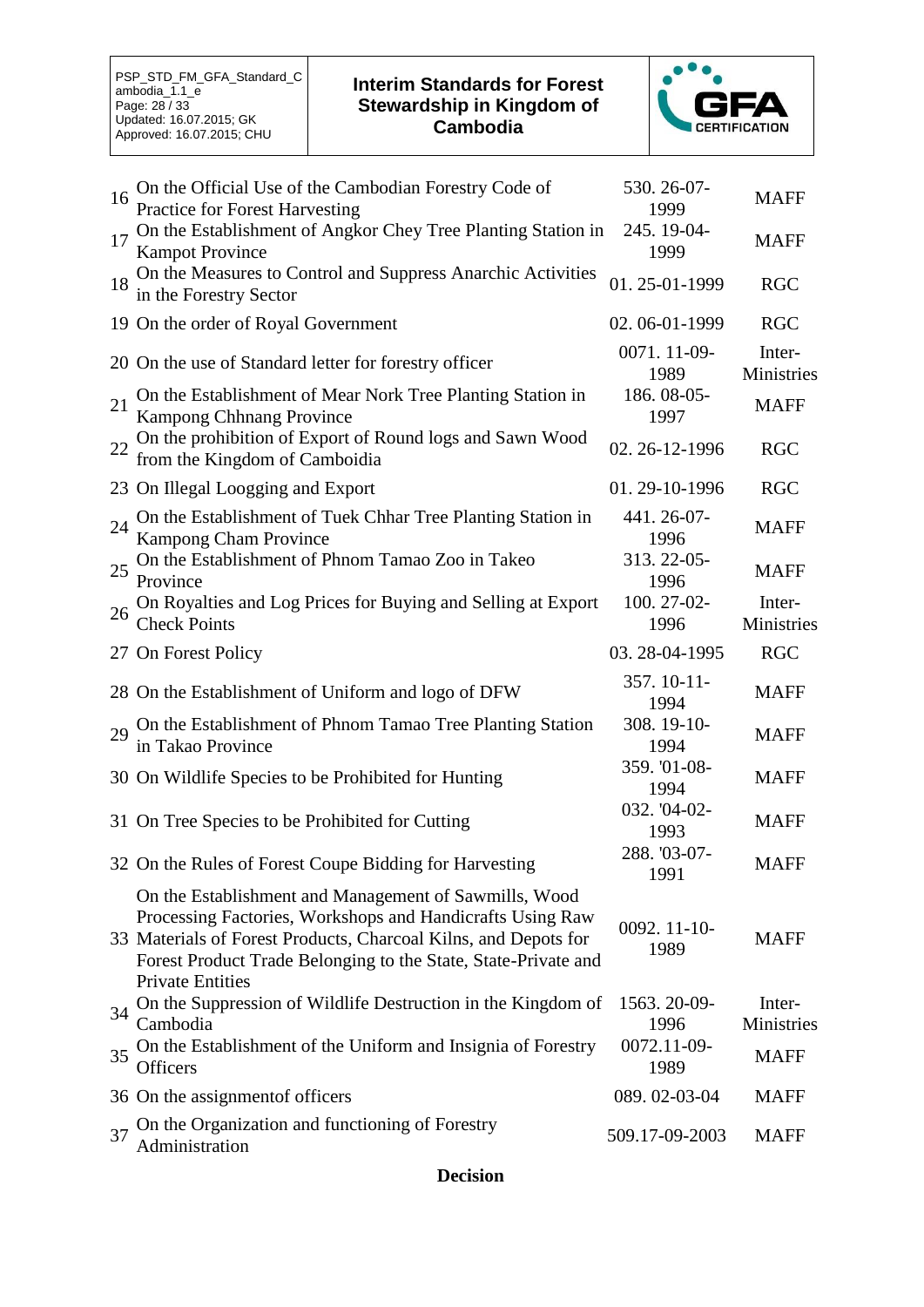

| 16 | On the Official Use of the Cambodian Forestry Code of<br><b>Practice for Forest Harvesting</b>                                                                                                                                                                                     | 530. 26-07-<br>1999  | <b>MAFF</b>          |
|----|------------------------------------------------------------------------------------------------------------------------------------------------------------------------------------------------------------------------------------------------------------------------------------|----------------------|----------------------|
| 17 | On the Establishment of Angkor Chey Tree Planting Station in<br><b>Kampot Province</b>                                                                                                                                                                                             | 245.19-04-<br>1999   | <b>MAFF</b>          |
| 18 | On the Measures to Control and Suppress Anarchic Activities<br>in the Forestry Sector                                                                                                                                                                                              | 01.25-01-1999        | <b>RGC</b>           |
|    | 19 On the order of Royal Government                                                                                                                                                                                                                                                | 02.06-01-1999        | <b>RGC</b>           |
|    | 20 On the use of Standard letter for forestry officer                                                                                                                                                                                                                              | 0071.11-09-<br>1989  | Inter-<br>Ministries |
| 21 | On the Establishment of Mear Nork Tree Planting Station in<br><b>Kampong Chhnang Province</b>                                                                                                                                                                                      | 186.08-05-<br>1997   | <b>MAFF</b>          |
| 22 | On the prohibition of Export of Round logs and Sawn Wood<br>from the Kingdom of Camboidia                                                                                                                                                                                          | 02. 26-12-1996       | <b>RGC</b>           |
|    | 23 On Illegal Loogging and Export                                                                                                                                                                                                                                                  | 01.29-10-1996        | <b>RGC</b>           |
| 24 | On the Establishment of Tuek Chhar Tree Planting Station in<br>Kampong Cham Province                                                                                                                                                                                               | 441.26-07-<br>1996   | <b>MAFF</b>          |
| 25 | On the Establishment of Phnom Tamao Zoo in Takeo<br>Province                                                                                                                                                                                                                       | 313.22-05-<br>1996   | <b>MAFF</b>          |
| 26 | On Royalties and Log Prices for Buying and Selling at Export<br><b>Check Points</b>                                                                                                                                                                                                | 100.27-02-<br>1996   | Inter-<br>Ministries |
|    | 27 On Forest Policy                                                                                                                                                                                                                                                                | 03.28-04-1995        | <b>RGC</b>           |
|    | 28 On the Establishment of Uniform and logo of DFW                                                                                                                                                                                                                                 | 357.10-11-<br>1994   | <b>MAFF</b>          |
| 29 | On the Establishment of Phnom Tamao Tree Planting Station<br>in Takao Province                                                                                                                                                                                                     | 308. 19-10-<br>1994  | <b>MAFF</b>          |
|    | 30 On Wildlife Species to be Prohibited for Hunting                                                                                                                                                                                                                                | 359. '01-08-<br>1994 | <b>MAFF</b>          |
|    | 31 On Tree Species to be Prohibited for Cutting                                                                                                                                                                                                                                    | 032. '04-02-<br>1993 | <b>MAFF</b>          |
|    | 32 On the Rules of Forest Coupe Bidding for Harvesting                                                                                                                                                                                                                             | 288. '03-07-<br>1991 | <b>MAFF</b>          |
|    | On the Establishment and Management of Sawmills, Wood<br>Processing Factories, Workshops and Handicrafts Using Raw<br>33 Materials of Forest Products, Charcoal Kilns, and Depots for<br>Forest Product Trade Belonging to the State, State-Private and<br><b>Private Entities</b> | 0092. 11-10-<br>1989 | <b>MAFF</b>          |
| 34 | On the Suppression of Wildlife Destruction in the Kingdom of<br>Cambodia                                                                                                                                                                                                           | 1563. 20-09-<br>1996 | Inter-<br>Ministries |
| 35 | On the Establishment of the Uniform and Insignia of Forestry<br><b>Officers</b>                                                                                                                                                                                                    | 0072.11-09-<br>1989  | <b>MAFF</b>          |
|    | 36 On the assignment of officers                                                                                                                                                                                                                                                   | 089.02-03-04         | <b>MAFF</b>          |
| 37 | On the Organization and functioning of Forestry<br>Administration                                                                                                                                                                                                                  | 509.17-09-2003       | <b>MAFF</b>          |

**Decision**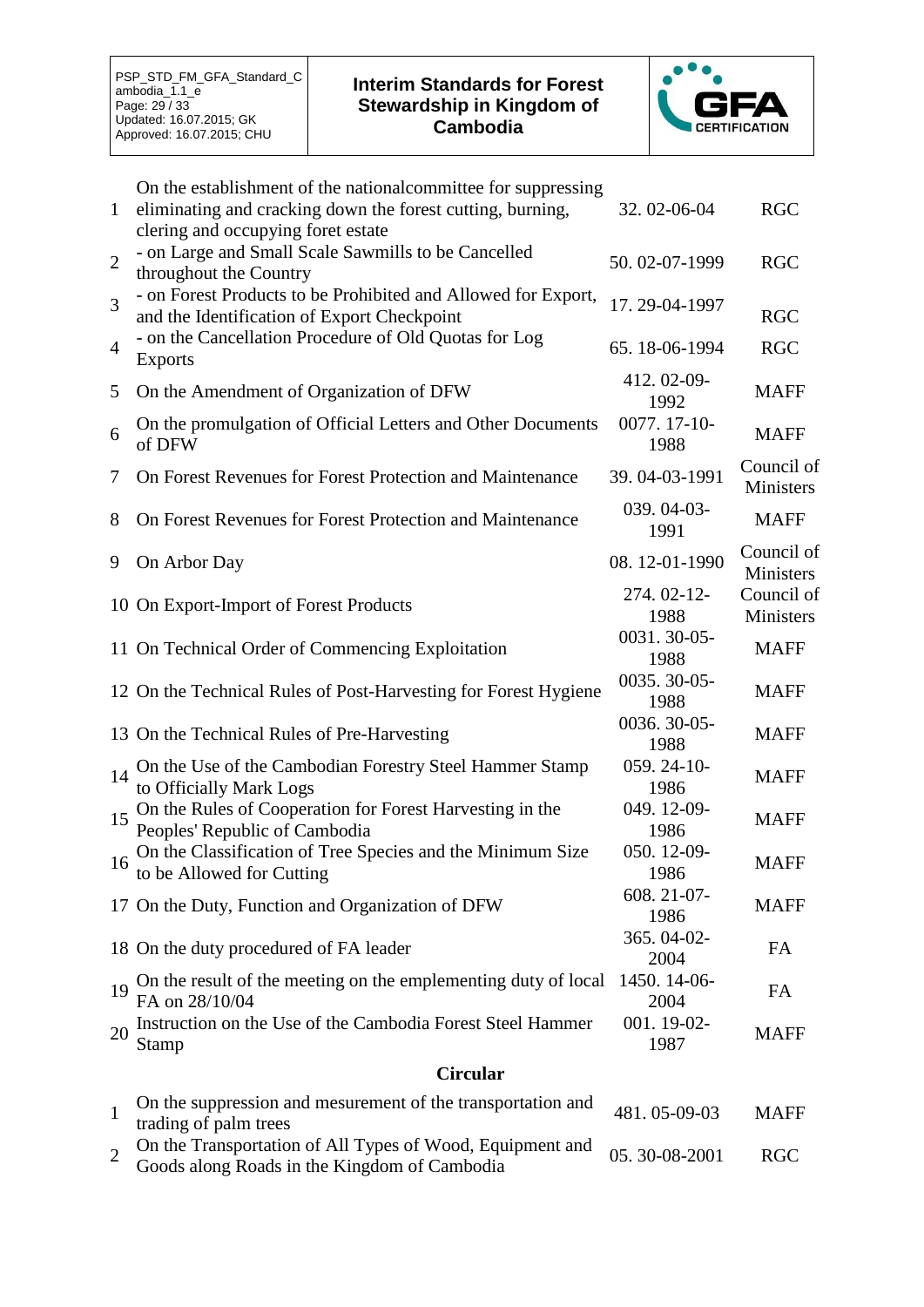

| $\mathbf{1}$   | On the establishment of the national committee for suppressing<br>eliminating and cracking down the forest cutting, burning, | 32.02-06-04          | <b>RGC</b>              |  |
|----------------|------------------------------------------------------------------------------------------------------------------------------|----------------------|-------------------------|--|
| $\overline{2}$ | clering and occupying foret estate<br>- on Large and Small Scale Sawmills to be Cancelled<br>throughout the Country          | 50.02-07-1999        | <b>RGC</b>              |  |
| 3              | - on Forest Products to be Prohibited and Allowed for Export,<br>and the Identification of Export Checkpoint                 | 17.29-04-1997        | <b>RGC</b>              |  |
| $\overline{4}$ | - on the Cancellation Procedure of Old Quotas for Log<br><b>Exports</b>                                                      | 65.18-06-1994        | <b>RGC</b>              |  |
| 5              | On the Amendment of Organization of DFW                                                                                      | 412.02-09-<br>1992   | <b>MAFF</b>             |  |
| 6              | On the promulgation of Official Letters and Other Documents<br>of DFW                                                        | 0077.17-10-<br>1988  | <b>MAFF</b>             |  |
| 7              | On Forest Revenues for Forest Protection and Maintenance                                                                     | 39.04-03-1991        | Council of<br>Ministers |  |
| 8              | On Forest Revenues for Forest Protection and Maintenance                                                                     | 039.04-03-<br>1991   | <b>MAFF</b>             |  |
| 9              | On Arbor Day                                                                                                                 | 08.12-01-1990        | Council of<br>Ministers |  |
|                | 10 On Export-Import of Forest Products                                                                                       | 274.02-12-<br>1988   | Council of<br>Ministers |  |
|                | 11 On Technical Order of Commencing Exploitation                                                                             | 0031.30-05-<br>1988  | <b>MAFF</b>             |  |
|                | 12 On the Technical Rules of Post-Harvesting for Forest Hygiene                                                              | 0035.30-05-<br>1988  | <b>MAFF</b>             |  |
|                | 13 On the Technical Rules of Pre-Harvesting                                                                                  | 0036.30-05-<br>1988  | <b>MAFF</b>             |  |
| 14             | On the Use of the Cambodian Forestry Steel Hammer Stamp<br>to Officially Mark Logs                                           | $059.24-10-$<br>1986 | <b>MAFF</b>             |  |
| 15             | On the Rules of Cooperation for Forest Harvesting in the<br>Peoples' Republic of Cambodia                                    | 049.12-09-<br>1986   | <b>MAFF</b>             |  |
| 16             | On the Classification of Tree Species and the Minimum Size<br>to be Allowed for Cutting                                      | 050. 12-09-<br>1986  | <b>MAFF</b>             |  |
|                | 17 On the Duty, Function and Organization of DFW                                                                             | 608.21-07-<br>1986   | <b>MAFF</b>             |  |
|                | 18 On the duty procedured of FA leader                                                                                       | 365.04-02-<br>2004   | FA                      |  |
| 19             | On the result of the meeting on the emplementing duty of local<br>FA on 28/10/04                                             | 1450. 14-06-<br>2004 | FA                      |  |
| 20             | Instruction on the Use of the Cambodia Forest Steel Hammer<br>Stamp                                                          | 001.19-02-<br>1987   | <b>MAFF</b>             |  |
|                | <b>Circular</b>                                                                                                              |                      |                         |  |
| $\mathbf{1}$   | On the suppression and mesurement of the transportation and<br>trading of palm trees                                         | 481.05-09-03         | <b>MAFF</b>             |  |
| $\overline{2}$ | On the Transportation of All Types of Wood, Equipment and<br>Goods along Roads in the Kingdom of Cambodia                    | 05.30-08-2001        | <b>RGC</b>              |  |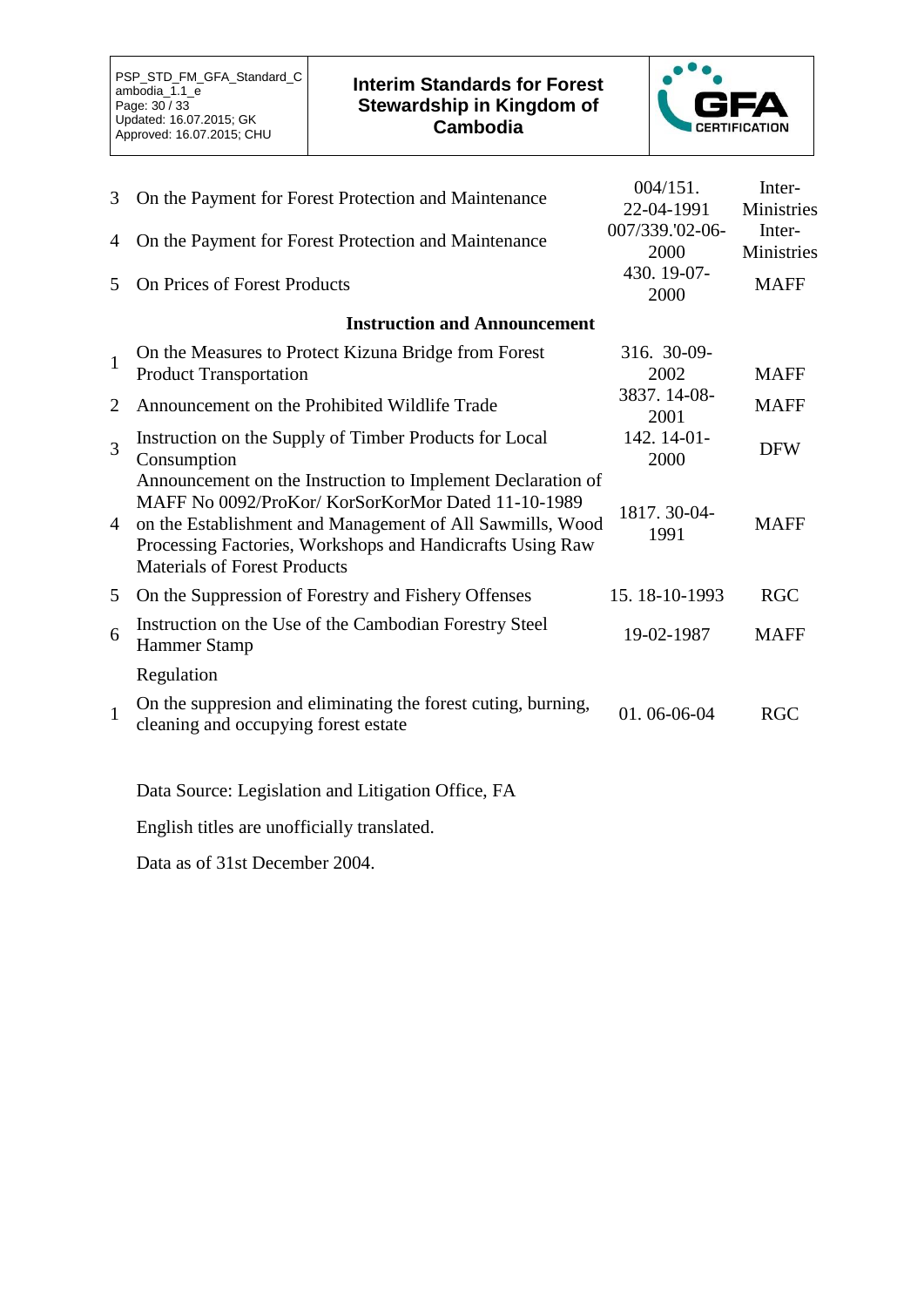

| 3            | On the Payment for Forest Protection and Maintenance                                                                                                                                                                                                                              | 004/151.<br>22-04-1991  | Inter-<br>Ministries |
|--------------|-----------------------------------------------------------------------------------------------------------------------------------------------------------------------------------------------------------------------------------------------------------------------------------|-------------------------|----------------------|
| 4            | On the Payment for Forest Protection and Maintenance                                                                                                                                                                                                                              | 007/339.'02-06-<br>2000 | Inter-<br>Ministries |
| 5            | On Prices of Forest Products                                                                                                                                                                                                                                                      | 430. 19-07-<br>2000     | <b>MAFF</b>          |
|              | <b>Instruction and Announcement</b>                                                                                                                                                                                                                                               |                         |                      |
| $\mathbf{1}$ | On the Measures to Protect Kizuna Bridge from Forest<br><b>Product Transportation</b>                                                                                                                                                                                             | 316. 30-09-<br>2002     | <b>MAFF</b>          |
| 2            | Announcement on the Prohibited Wildlife Trade                                                                                                                                                                                                                                     | 3837.14-08-<br>2001     | <b>MAFF</b>          |
| 3            | Instruction on the Supply of Timber Products for Local<br>Consumption                                                                                                                                                                                                             | 142. 14-01-<br>2000     | <b>DFW</b>           |
| 4            | Announcement on the Instruction to Implement Declaration of<br>MAFF No 0092/ProKor/KorSorKorMor Dated 11-10-1989<br>on the Establishment and Management of All Sawmills, Wood<br>Processing Factories, Workshops and Handicrafts Using Raw<br><b>Materials of Forest Products</b> | 1817.30-04-<br>1991     | <b>MAFF</b>          |
| 5            | On the Suppression of Forestry and Fishery Offenses                                                                                                                                                                                                                               | 15.18-10-1993           | <b>RGC</b>           |
| 6            | Instruction on the Use of the Cambodian Forestry Steel<br><b>Hammer Stamp</b>                                                                                                                                                                                                     | 19-02-1987              | <b>MAFF</b>          |
|              | Regulation                                                                                                                                                                                                                                                                        |                         |                      |
| $\mathbf{1}$ | On the suppresion and eliminating the forest cuting, burning,<br>cleaning and occupying forest estate                                                                                                                                                                             | 01.06-06-04             | <b>RGC</b>           |
|              | Data Source: Legislation and Litigation Office, FA                                                                                                                                                                                                                                |                         |                      |
|              | English titles are unofficially translated.                                                                                                                                                                                                                                       |                         |                      |

Data as of 31st December 2004.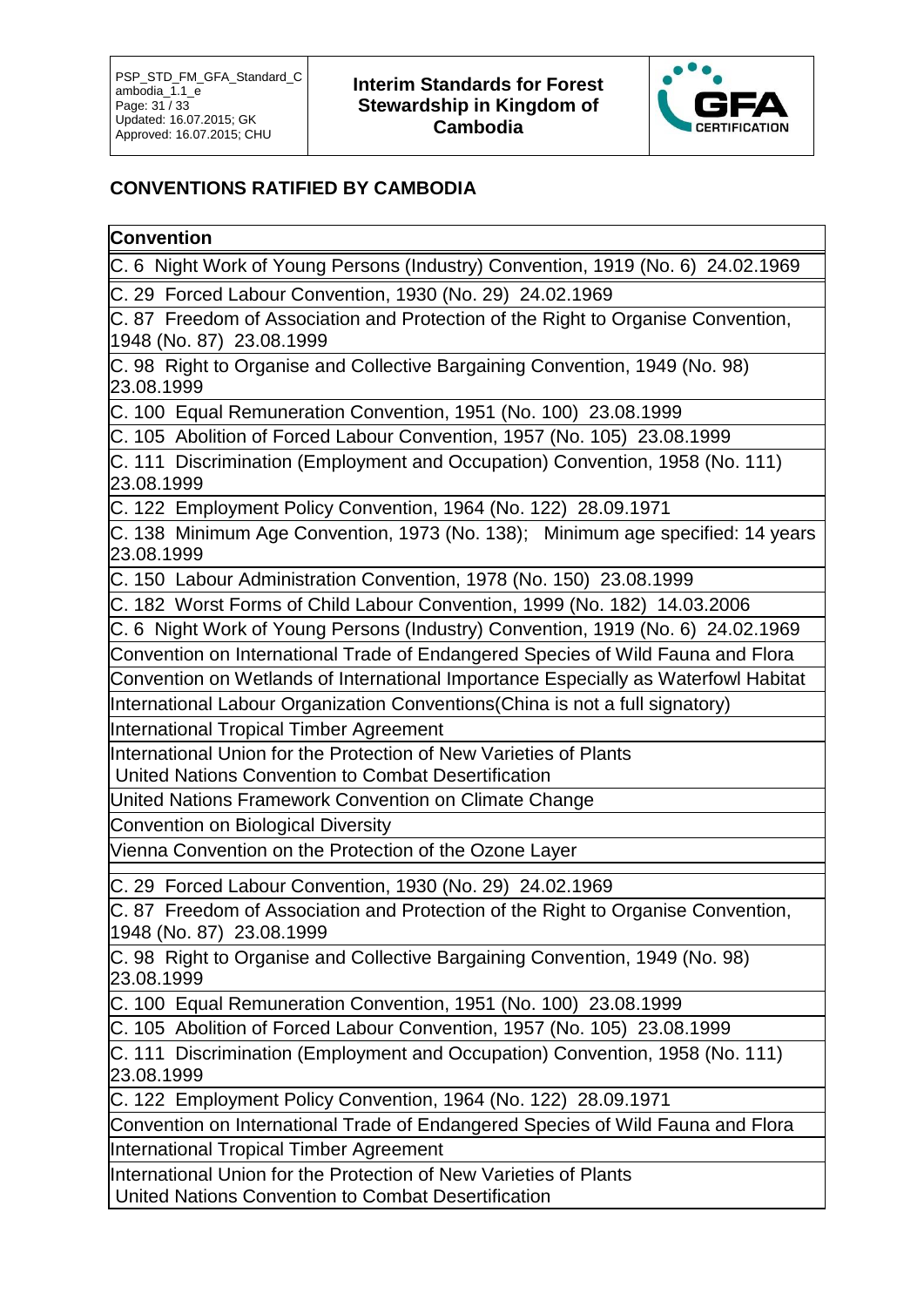

## **CONVENTIONS RATIFIED BY CAMBODIA**

## **Convention**

C. 6 Night Work of Young Persons (Industry) Convention, 1919 (No. 6) 24.02.1969

C. 29 Forced Labour Convention, 1930 (No. 29) 24.02.1969

C. 87 Freedom of Association and Protection of the Right to Organise Convention, 1948 (No. 87) 23.08.1999

C. 98 Right to Organise and Collective Bargaining Convention, 1949 (No. 98) 23.08.1999

C. 100 Equal Remuneration Convention, 1951 (No. 100) 23.08.1999

C. 105 Abolition of Forced Labour Convention, 1957 (No. 105) 23.08.1999

C. 111 Discrimination (Employment and Occupation) Convention, 1958 (No. 111) 23.08.1999

C. 122 Employment Policy Convention, 1964 (No. 122) 28.09.1971

C. 138 Minimum Age Convention, 1973 (No. 138); Minimum age specified: 14 years 23.08.1999

C. 150 Labour Administration Convention, 1978 (No. 150) 23.08.1999

C. 182 Worst Forms of Child Labour Convention, 1999 (No. 182) 14.03.2006

C. 6 Night Work of Young Persons (Industry) Convention, 1919 (No. 6) 24.02.1969

Convention on International Trade of Endangered Species of Wild Fauna and Flora

Convention on Wetlands of International Importance Especially as Waterfowl Habitat

International Labour Organization Conventions(China is not a full signatory)

International Tropical Timber Agreement

International Union for the Protection of New Varieties of Plants

United Nations Convention to Combat Desertification

United Nations Framework Convention on Climate Change

Convention on Biological Diversity

Vienna Convention on the Protection of the Ozone Layer

C. 29 Forced Labour Convention, 1930 (No. 29) 24.02.1969

C. 87 Freedom of Association and Protection of the Right to Organise Convention, 1948 (No. 87) 23.08.1999

C. 98 Right to Organise and Collective Bargaining Convention, 1949 (No. 98) 23.08.1999

C. 100 Equal Remuneration Convention, 1951 (No. 100) 23.08.1999

C. 105 Abolition of Forced Labour Convention, 1957 (No. 105) 23.08.1999

C. 111 Discrimination (Employment and Occupation) Convention, 1958 (No. 111) 23.08.1999

C. 122 Employment Policy Convention, 1964 (No. 122) 28.09.1971

Convention on International Trade of Endangered Species of Wild Fauna and Flora International Tropical Timber Agreement

International Union for the Protection of New Varieties of Plants United Nations Convention to Combat Desertification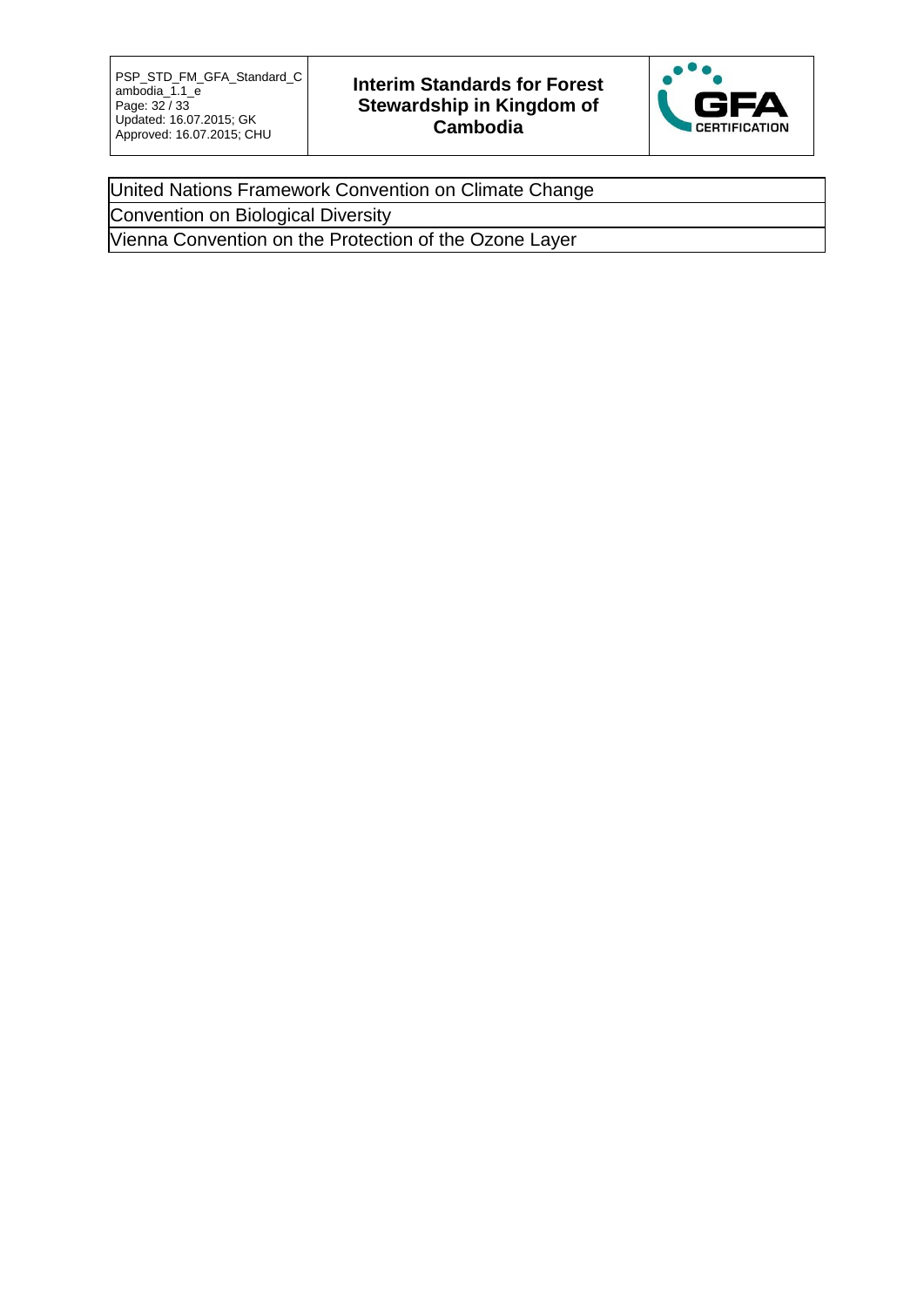

# United Nations Framework Convention on Climate Change

Convention on Biological Diversity

Vienna Convention on the Protection of the Ozone Layer